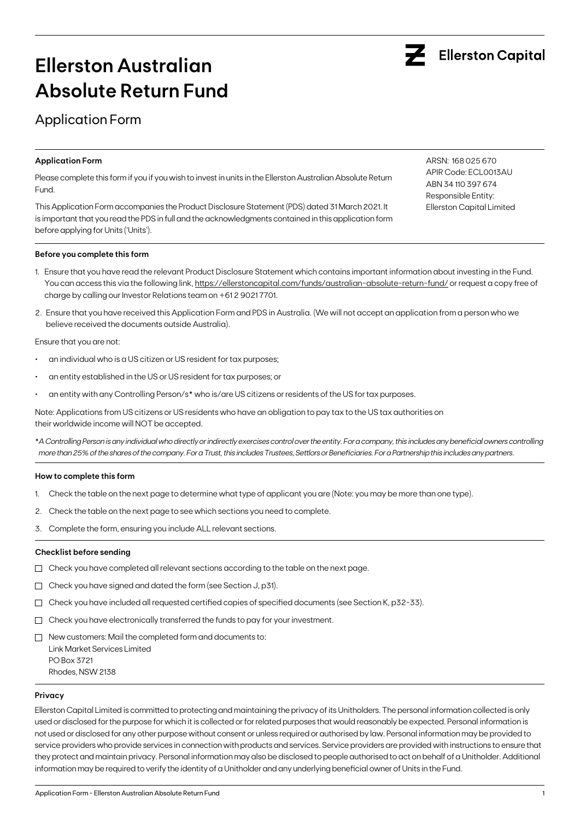

# **Ellerston Australian Absolute Return Fund**

## Application Form

### **Application Form**

Please complete this form if you if you wish to invest in units in the Ellerston Australian Absolute Return Fund.

This Application Form accompanies the Product Disclosure Statement (PDS) dated 31 March 2021. It is important that you read the PDS in full and the acknowledgments contained in this application form before applying for Units ('Units').

### **Before you complete this form**

- 1. Ensure that you have read the relevant Product Disclosure Statement which contains important information about investing in the Fund. You can access this via the following link, https://ellerstoncapital.com/funds/australian-absolute-return-fund/ or request a copy free of charge by calling our Investor Relations team on +61 2 9021 7701.
- 2. Ensure that you have received this Application Form and PDS in Australia. (We will not accept an application from a person who we believe received the documents outside Australia).

Ensure that you are not:

- an individual who is a US citizen or US resident for tax purposes;
- an entity established in the US or US resident for tax purposes; or
- an entity with any Controlling Person/s\* who is/are US citizens or residents of the US for tax purposes.

Note: Applications from US citizens or US residents who have an obligation to pay tax to the US tax authorities on their worldwide income will NOT be accepted.

\**A Controlling Person is any individual who directly or indirectly exercises control over the entity. For a company, this includes any beneficial owners controlling more than 25% of the shares of the company. For a Trust, this includes Trustees, Settlors or Beneficiaries. For a Partnership this includes any partners.*

### **How to complete this form**

- 1. Check the table on the next page to determine what type of applicant you are (Note: you may be more than one type).
- 2. Check the table on the next page to see which sections you need to complete.
- 3. Complete the form, ensuring you include ALL relevant sections.

### **Checklist before sending**

- $\Box$  Check you have completed all relevant sections according to the table on the next page.
- Check you have signed and dated the form (see Section J, p31).
- $\Box$  Check you have included all requested certified copies of specified documents (see Section K, p32-33).
- $\Box$  Check you have electronically transferred the funds to pay for your investment.
- $\Box$  New customers: Mail the completed form and documents to: Link Market Services Limited PO Box 3721 Rhodes, NSW 2138

#### **Privacy**

Ellerston Capital Limited is committed to protecting and maintaining the privacy of its Unitholders. The personal information collected is only used or disclosed for the purpose for which it is collected or for related purposes that would reasonably be expected. Personal information is not used or disclosed for any other purpose without consent or unless required or authorised by law. Personal information may be provided to service providers who provide services in connection with products and services. Service providers are provided with instructions to ensure that they protect and maintain privacy. Personal information may also be disclosed to people authorised to act on behalf of a Unitholder. Additional information may be required to verify the identity of a Unitholder and any underlying beneficial owner of Units in the Fund.

ARSN: 168 025 670 APIR Code: ECL0013AU ABN 34 110 397 674 Responsible Entity: Ellerston Capital Limited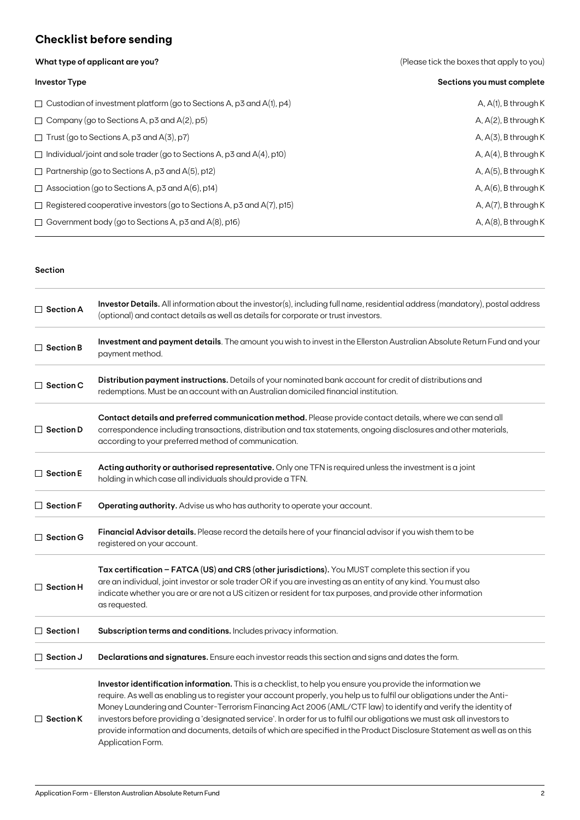## **Checklist before sending**

**What type of applicant are you?** 

| (Please tick the boxes that apply to you) |  |  |
|-------------------------------------------|--|--|
|                                           |  |  |

| <b>Investor Type</b>                                                         | Sections you must complete |
|------------------------------------------------------------------------------|----------------------------|
| $\Box$ Custodian of investment platform (go to Sections A, p3 and A(1), p4)  | A, $A(1)$ , B through K    |
| $\Box$ Company (go to Sections A, p3 and A(2), p5)                           | A, $A(2)$ , B through K    |
| $\Box$ Trust (go to Sections A, p3 and A(3), p7)                             | $A, A(3)$ , B through K    |
| $\Box$ Individual/joint and sole trader (go to Sections A, p3 and A(4), p10) | A, $A(4)$ , B through K    |
| $\Box$ Partnership (go to Sections A, p3 and A(5), p12)                      | $A, A(5)$ , B through K    |
| $\Box$ Association (go to Sections A, p3 and A(6), p14)                      | A, $A(6)$ , B through K    |
| $\Box$ Registered cooperative investors (go to Sections A, p3 and A(7), p15) | A, $A(7)$ , B through K    |
| $\Box$ Government body (go to Sections A, p3 and A(8), p16)                  | A, $A(8)$ , B through K    |

### **Section**

| $\Box$ Section A                                                                                                                                                                                                                                                                                          | Investor Details. All information about the investor(s), including full name, residential address (mandatory), postal address<br>(optional) and contact details as well as details for corporate or trust investors.                                                                                                                                                                                                                                                                                                                                                                                                                    |  |  |  |
|-----------------------------------------------------------------------------------------------------------------------------------------------------------------------------------------------------------------------------------------------------------------------------------------------------------|-----------------------------------------------------------------------------------------------------------------------------------------------------------------------------------------------------------------------------------------------------------------------------------------------------------------------------------------------------------------------------------------------------------------------------------------------------------------------------------------------------------------------------------------------------------------------------------------------------------------------------------------|--|--|--|
| $\Box$ Section B                                                                                                                                                                                                                                                                                          | Investment and payment details. The amount you wish to invest in the Ellerston Australian Absolute Return Fund and your<br>payment method.                                                                                                                                                                                                                                                                                                                                                                                                                                                                                              |  |  |  |
| $\Box$ Section C                                                                                                                                                                                                                                                                                          | Distribution payment instructions. Details of your nominated bank account for credit of distributions and<br>redemptions. Must be an account with an Australian domiciled financial institution.                                                                                                                                                                                                                                                                                                                                                                                                                                        |  |  |  |
| Contact details and preferred communication method. Please provide contact details, where we can send all<br>$\Box$ Section D<br>correspondence including transactions, distribution and tax statements, ongoing disclosures and other materials,<br>according to your preferred method of communication. |                                                                                                                                                                                                                                                                                                                                                                                                                                                                                                                                                                                                                                         |  |  |  |
| Acting authority or authorised representative. Only one TFN is required unless the investment is a joint<br>$\Box$ Section E<br>holding in which case all individuals should provide a TFN.                                                                                                               |                                                                                                                                                                                                                                                                                                                                                                                                                                                                                                                                                                                                                                         |  |  |  |
| $\Box$ Section F                                                                                                                                                                                                                                                                                          | Operating authority. Advise us who has authority to operate your account.                                                                                                                                                                                                                                                                                                                                                                                                                                                                                                                                                               |  |  |  |
| $\Box$ Section G                                                                                                                                                                                                                                                                                          | Financial Advisor details. Please record the details here of your financial advisor if you wish them to be<br>registered on your account.                                                                                                                                                                                                                                                                                                                                                                                                                                                                                               |  |  |  |
| $\Box$ Section H                                                                                                                                                                                                                                                                                          | Tax certification - FATCA (US) and CRS (other jurisdictions). You MUST complete this section if you<br>are an individual, joint investor or sole trader OR if you are investing as an entity of any kind. You must also<br>indicate whether you are or are not a US citizen or resident for tax purposes, and provide other information<br>as requested.                                                                                                                                                                                                                                                                                |  |  |  |
| $\Box$ Section I                                                                                                                                                                                                                                                                                          | Subscription terms and conditions. Includes privacy information.                                                                                                                                                                                                                                                                                                                                                                                                                                                                                                                                                                        |  |  |  |
| $\Box$ Section J                                                                                                                                                                                                                                                                                          | Declarations and signatures. Ensure each investor reads this section and signs and dates the form.                                                                                                                                                                                                                                                                                                                                                                                                                                                                                                                                      |  |  |  |
| $\Box$ Section K                                                                                                                                                                                                                                                                                          | Investor identification information. This is a checklist, to help you ensure you provide the information we<br>require. As well as enabling us to register your account properly, you help us to fulfil our obligations under the Anti-<br>Money Laundering and Counter-Terrorism Financing Act 2006 (AML/CTF law) to identify and verify the identity of<br>investors before providing a 'designated service'. In order for us to fulfil our obligations we must ask all investors to<br>provide information and documents, details of which are specified in the Product Disclosure Statement as well as on this<br>Application Form. |  |  |  |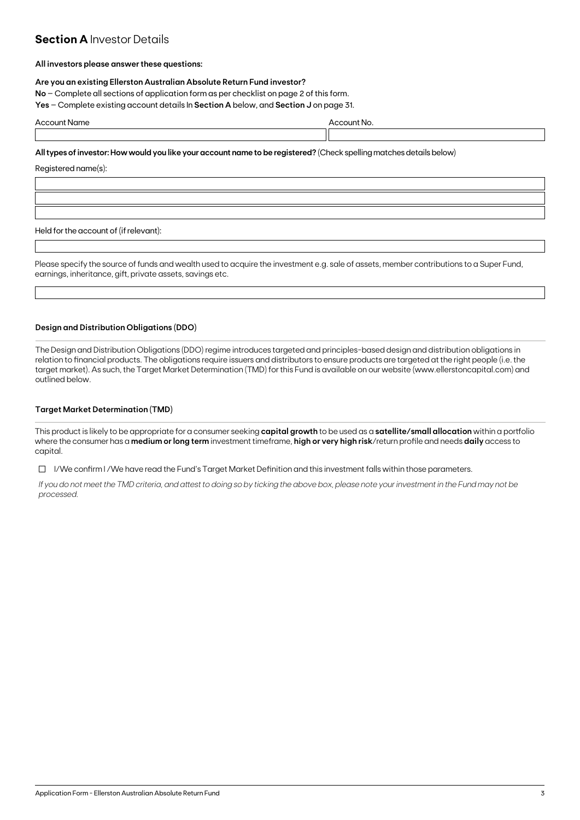### **Section A Investor Details**

### **All investors please answer these questions:**

### **Are you an existing Ellerston Australian Absolute Return Fund investor?**

**No** – Complete all sections of application form as per checklist on page 2 of this form.

**Yes** – Complete existing account details In **Section A** below, and **Section J** on page 31.

| . | . |  |
|---|---|--|
|   |   |  |

### **All types of investor: How would you like your account name to be registered?** (Check spelling matches details below)

Registered name(s):

Held for the account of (if relevant):

Please specify the source of funds and wealth used to acquire the investment e.g. sale of assets, member contributions to a Super Fund, earnings, inheritance, gift, private assets, savings etc.

### **Design and Distribution Obligations (DDO)**

The Design and Distribution Obligations (DDO) regime introduces targeted and principles-based design and distribution obligations in relation to financial products. The obligations require issuers and distributors to ensure products are targeted at the right people (i.e. the target market). As such, the Target Market Determination (TMD) for this Fund is available on our website (www.ellerstoncapital.com) and outlined below.

### **Target Market Determination (TMD)**

This product is likely to be appropriate for a consumer seeking **capital growth** to be used as a **satellite/small allocation** within a portfolio where the consumer has a **medium or long term** investment timeframe, **high or very high risk**/return profile and needs **daily** access to capital.

 $\Box$  I/We confirm I/We have read the Fund's Target Market Definition and this investment falls within those parameters.

*If you do not meet the TMD criteria, and attest to doing so by ticking the above box, please note your investment in the Fund may not be processed.*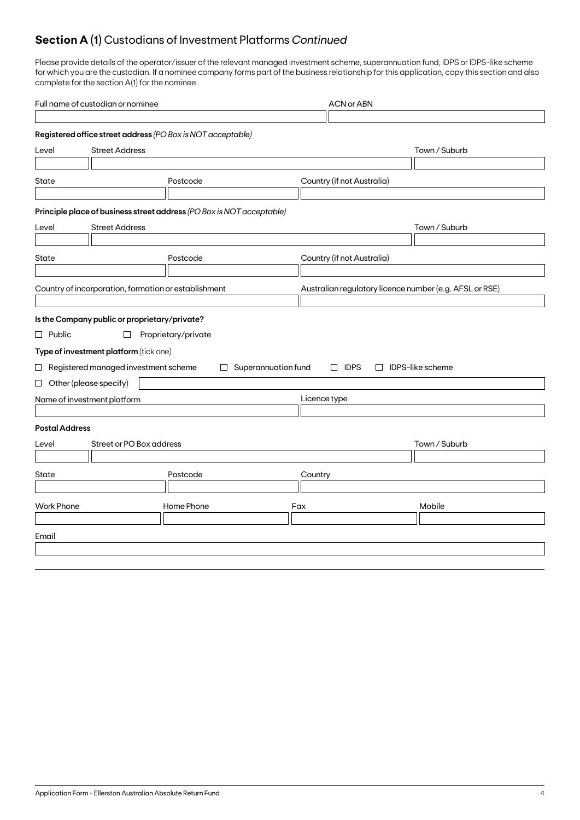## **Section A (1)** Custodians of Investment Platforms *Continued*

Please provide details of the operator/issuer of the relevant managed investment scheme, superannuation fund, IDPS or IDPS-like scheme for which you are the custodian. If a nominee company forms part of the business relationship for this application, copy this section and also complete for the section A(1) for the nominee.

| Full name of custodian or nominee |                                                      |                                                                       |                            | <b>ACN or ABN</b>                                       |                         |  |
|-----------------------------------|------------------------------------------------------|-----------------------------------------------------------------------|----------------------------|---------------------------------------------------------|-------------------------|--|
|                                   |                                                      |                                                                       |                            |                                                         |                         |  |
|                                   |                                                      | Registered office street address (PO Box is NOT acceptable)           |                            |                                                         |                         |  |
| Level                             | <b>Street Address</b>                                |                                                                       |                            |                                                         | Town / Suburb           |  |
|                                   |                                                      |                                                                       |                            |                                                         |                         |  |
| State                             |                                                      | Postcode                                                              |                            | Country (if not Australia)                              |                         |  |
|                                   |                                                      |                                                                       |                            |                                                         |                         |  |
|                                   |                                                      | Principle place of business street address (PO Box is NOT acceptable) |                            |                                                         |                         |  |
| Level                             | <b>Street Address</b>                                |                                                                       |                            |                                                         | Town / Suburb           |  |
|                                   |                                                      |                                                                       |                            |                                                         |                         |  |
| State                             |                                                      | Postcode                                                              |                            | Country (if not Australia)                              |                         |  |
|                                   |                                                      |                                                                       |                            |                                                         |                         |  |
|                                   | Country of incorporation, formation or establishment |                                                                       |                            | Australian regulatory licence number (e.g. AFSL or RSE) |                         |  |
|                                   |                                                      |                                                                       |                            |                                                         |                         |  |
|                                   | Is the Company public or proprietary/private?        |                                                                       |                            |                                                         |                         |  |
| $\Box$ Public                     | □                                                    | Proprietary/private                                                   |                            |                                                         |                         |  |
|                                   | Type of investment platform (tick one)               |                                                                       |                            |                                                         |                         |  |
|                                   | $\Box$ Registered managed investment scheme          |                                                                       | $\Box$ Superannuation fund | $\Box$ IDPS                                             | $\Box$ IDPS-like scheme |  |
|                                   | $\Box$ Other (please specify)                        |                                                                       |                            |                                                         |                         |  |
|                                   | Name of investment platform                          |                                                                       |                            | Licence type                                            |                         |  |
|                                   |                                                      |                                                                       |                            |                                                         |                         |  |
| <b>Postal Address</b>             |                                                      |                                                                       |                            |                                                         |                         |  |
| Level                             | Street or PO Box address                             |                                                                       |                            |                                                         | Town / Suburb           |  |
|                                   |                                                      |                                                                       |                            |                                                         |                         |  |
| State<br>Postcode                 |                                                      |                                                                       | Country                    |                                                         |                         |  |
|                                   |                                                      |                                                                       |                            |                                                         |                         |  |
| Home Phone<br><b>Work Phone</b>   |                                                      | Fax                                                                   |                            | Mobile                                                  |                         |  |
|                                   |                                                      |                                                                       |                            |                                                         |                         |  |
| Email                             |                                                      |                                                                       |                            |                                                         |                         |  |
|                                   |                                                      |                                                                       |                            |                                                         |                         |  |
|                                   |                                                      |                                                                       |                            |                                                         |                         |  |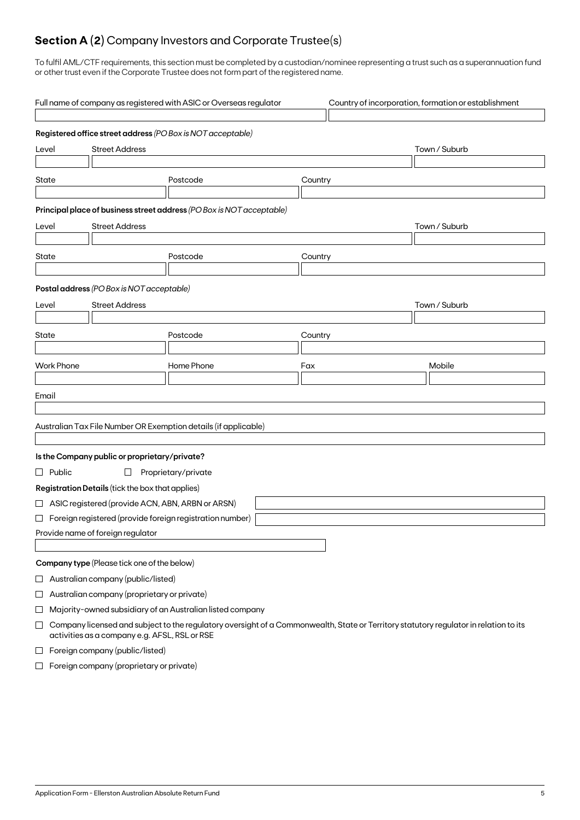## **Section A (2)** Company Investors and Corporate Trustee(s)

To fulfil AML/CTF requirements, this section must be completed by a custodian/nominee representing a trust such as a superannuation fund or other trust even if the Corporate Trustee does not form part of the registered name.

|                                | Full name of company as registered with ASIC or Overseas regulator<br>Country of incorporation, formation or establishment                                                             |                                                    |                                                                       |         |               |  |
|--------------------------------|----------------------------------------------------------------------------------------------------------------------------------------------------------------------------------------|----------------------------------------------------|-----------------------------------------------------------------------|---------|---------------|--|
|                                |                                                                                                                                                                                        |                                                    | Registered office street address (PO Box is NOT acceptable)           |         |               |  |
| <b>Street Address</b><br>Level |                                                                                                                                                                                        |                                                    |                                                                       |         | Town / Suburb |  |
| State                          |                                                                                                                                                                                        |                                                    | Postcode                                                              | Country |               |  |
|                                |                                                                                                                                                                                        |                                                    | Principal place of business street address (PO Box is NOT acceptable) |         |               |  |
| Level                          |                                                                                                                                                                                        | <b>Street Address</b>                              |                                                                       |         | Town / Suburb |  |
| State                          |                                                                                                                                                                                        |                                                    | Postcode                                                              | Country |               |  |
|                                |                                                                                                                                                                                        | Postal address (PO Box is NOT acceptable)          |                                                                       |         |               |  |
| Level                          |                                                                                                                                                                                        | <b>Street Address</b>                              |                                                                       |         | Town / Suburb |  |
|                                |                                                                                                                                                                                        |                                                    |                                                                       |         |               |  |
| State                          |                                                                                                                                                                                        |                                                    | Postcode                                                              | Country |               |  |
|                                |                                                                                                                                                                                        |                                                    |                                                                       |         |               |  |
|                                | <b>Work Phone</b>                                                                                                                                                                      |                                                    | Home Phone                                                            | Fax     | Mobile        |  |
| Email                          |                                                                                                                                                                                        |                                                    |                                                                       |         |               |  |
|                                |                                                                                                                                                                                        |                                                    |                                                                       |         |               |  |
|                                |                                                                                                                                                                                        |                                                    | Australian Tax File Number OR Exemption details (if applicable)       |         |               |  |
|                                |                                                                                                                                                                                        | Is the Company public or proprietary/private?      |                                                                       |         |               |  |
|                                | $\Box$ Public                                                                                                                                                                          | $\Box$                                             | Proprietary/private                                                   |         |               |  |
|                                |                                                                                                                                                                                        | Registration Details (tick the box that applies)   |                                                                       |         |               |  |
|                                |                                                                                                                                                                                        | □ ASIC registered (provide ACN, ABN, ARBN or ARSN) |                                                                       |         |               |  |
|                                |                                                                                                                                                                                        |                                                    | $\Box$ Foreign registered (provide foreign registration number)       |         |               |  |
|                                |                                                                                                                                                                                        | Provide name of foreign regulator                  |                                                                       |         |               |  |
|                                |                                                                                                                                                                                        |                                                    |                                                                       |         |               |  |
|                                |                                                                                                                                                                                        | Company type (Please tick one of the below)        |                                                                       |         |               |  |
| $\sqcup$                       |                                                                                                                                                                                        | Australian company (public/listed)                 |                                                                       |         |               |  |
| $\Box$                         |                                                                                                                                                                                        | Australian company (proprietary or private)        |                                                                       |         |               |  |
| ⊔                              |                                                                                                                                                                                        |                                                    | Majority-owned subsidiary of an Australian listed company             |         |               |  |
| $\Box$                         | Company licensed and subject to the regulatory oversight of a Commonwealth, State or Territory statutory regulator in relation to its<br>activities as a company e.g. AFSL, RSL or RSE |                                                    |                                                                       |         |               |  |
| $\Box$                         | Foreign company (public/listed)                                                                                                                                                        |                                                    |                                                                       |         |               |  |

 $\Box$  Foreign company (proprietary or private)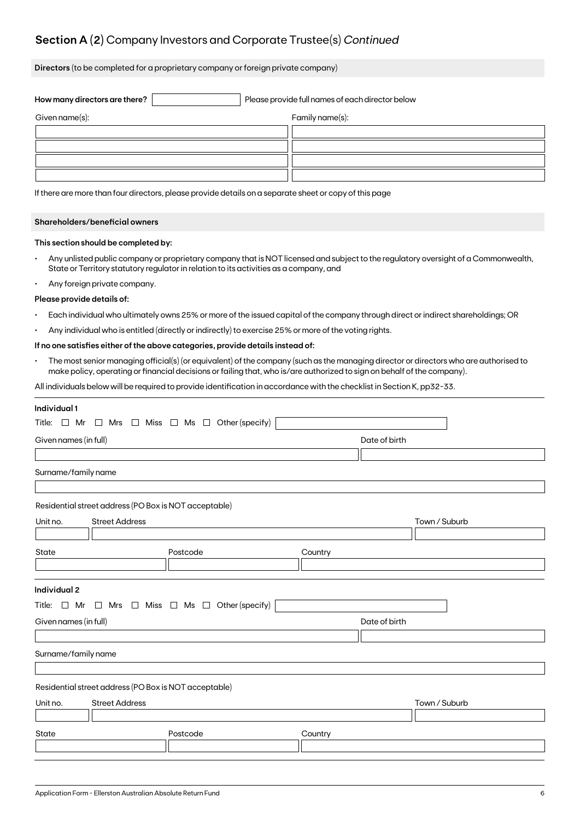## **Section A (2)** Company Investors and Corporate Trustee(s) *Continued*

**Directors** (to be completed for a proprietary company or foreign private company)

| How many directors are there? |  | Please provide full names of each director below |
|-------------------------------|--|--------------------------------------------------|
| Given name(s):                |  | Family name(s):                                  |
|                               |  |                                                  |
|                               |  |                                                  |
|                               |  |                                                  |
|                               |  |                                                  |

If there are more than four directors, please provide details on a separate sheet or copy of this page

### **Shareholders/beneficial owners**

### **This section should be completed by:**

- Any unlisted public company or proprietary company that is NOT licensed and subject to the regulatory oversight of a Commonwealth, State or Territory statutory regulator in relation to its activities as a company, and
- Any foreign private company.

#### **Please provide details of:**

- Each individual who ultimately owns 25% or more of the issued capital of the company through direct or indirect shareholdings; OR
- Any individual who is entitled (directly or indirectly) to exercise 25% or more of the voting rights.

### **If no one satisfies either of the above categories, provide details instead of:**

• The most senior managing official(s) (or equivalent) of the company (such as the managing director or directors who are authorised to make policy, operating or financial decisions or failing that, who is/are authorized to sign on behalf of the company).

All individuals below will be required to provide identification in accordance with the checklist in Section K, pp32-33.

| Individual 1                                                             |                                                         |               |  |  |  |  |  |  |
|--------------------------------------------------------------------------|---------------------------------------------------------|---------------|--|--|--|--|--|--|
| Title: $\Box$ Mr $\Box$ Mrs $\Box$ Miss $\Box$ Ms $\Box$ Other (specify) |                                                         |               |  |  |  |  |  |  |
| Given names (in full)                                                    | Date of birth                                           |               |  |  |  |  |  |  |
|                                                                          |                                                         |               |  |  |  |  |  |  |
| Surname/family name                                                      |                                                         |               |  |  |  |  |  |  |
|                                                                          |                                                         |               |  |  |  |  |  |  |
|                                                                          | Residential street address (PO Box is NOT acceptable)   |               |  |  |  |  |  |  |
| <b>Street Address</b><br>Unit no.                                        |                                                         | Town / Suburb |  |  |  |  |  |  |
|                                                                          |                                                         |               |  |  |  |  |  |  |
| State                                                                    | Postcode                                                | Country       |  |  |  |  |  |  |
|                                                                          |                                                         |               |  |  |  |  |  |  |
|                                                                          |                                                         |               |  |  |  |  |  |  |
| Individual 2                                                             |                                                         |               |  |  |  |  |  |  |
| Title: $\Box$ Mr                                                         | $\Box$ Mrs $\Box$ Miss $\Box$ Ms $\Box$ Other (specify) |               |  |  |  |  |  |  |
| Given names (in full)                                                    |                                                         | Date of birth |  |  |  |  |  |  |
|                                                                          |                                                         |               |  |  |  |  |  |  |
| Surname/family name                                                      |                                                         |               |  |  |  |  |  |  |
|                                                                          |                                                         |               |  |  |  |  |  |  |
|                                                                          | Residential street address (PO Box is NOT acceptable)   |               |  |  |  |  |  |  |
| <b>Street Address</b><br>Unit no.                                        |                                                         | Town / Suburb |  |  |  |  |  |  |
|                                                                          |                                                         |               |  |  |  |  |  |  |
| State                                                                    | Postcode                                                | Country       |  |  |  |  |  |  |
|                                                                          |                                                         |               |  |  |  |  |  |  |
|                                                                          |                                                         |               |  |  |  |  |  |  |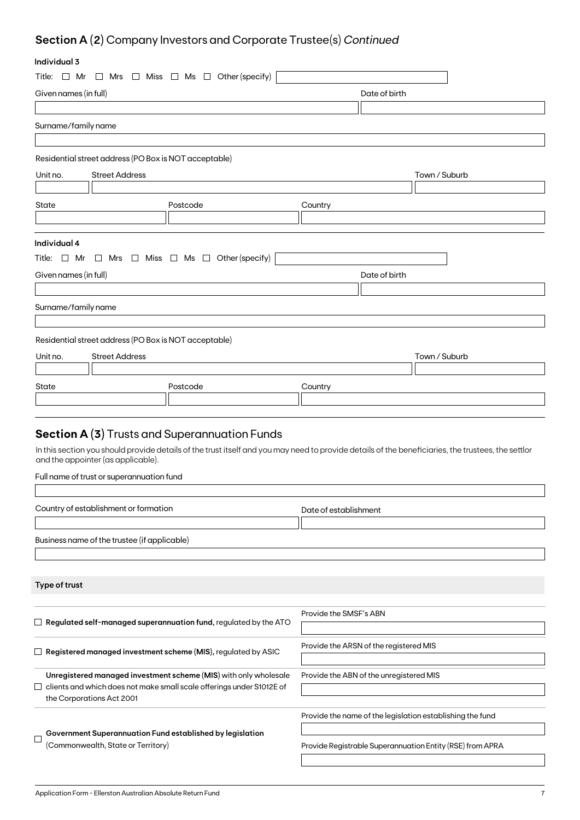## **Section A (2)** Company Investors and Corporate Trustee(s) *Continued*

## **Individual 3**

| individual 3                                                                      |                                                         |                                                                                                                                                    |  |  |
|-----------------------------------------------------------------------------------|---------------------------------------------------------|----------------------------------------------------------------------------------------------------------------------------------------------------|--|--|
| Title: $\Box$ Mr $\Box$ Mrs $\Box$ Miss $\Box$ Ms $\Box$ Other (specify)          |                                                         |                                                                                                                                                    |  |  |
| Given names (in full)                                                             |                                                         | Date of birth                                                                                                                                      |  |  |
|                                                                                   |                                                         |                                                                                                                                                    |  |  |
| Surname/family name                                                               |                                                         |                                                                                                                                                    |  |  |
|                                                                                   |                                                         |                                                                                                                                                    |  |  |
| Residential street address (PO Box is NOT acceptable)                             |                                                         |                                                                                                                                                    |  |  |
| Unit no.<br><b>Street Address</b>                                                 |                                                         | Town / Suburb                                                                                                                                      |  |  |
|                                                                                   |                                                         |                                                                                                                                                    |  |  |
| State                                                                             | Postcode                                                | Country                                                                                                                                            |  |  |
|                                                                                   |                                                         |                                                                                                                                                    |  |  |
|                                                                                   |                                                         |                                                                                                                                                    |  |  |
| Individual 4                                                                      |                                                         |                                                                                                                                                    |  |  |
| Title: □ Mr                                                                       | $\Box$ Mrs $\Box$ Miss $\Box$ Ms $\Box$ Other (specify) |                                                                                                                                                    |  |  |
| Given names (in full)                                                             |                                                         | Date of birth                                                                                                                                      |  |  |
|                                                                                   |                                                         |                                                                                                                                                    |  |  |
| Surname/family name                                                               |                                                         |                                                                                                                                                    |  |  |
|                                                                                   |                                                         |                                                                                                                                                    |  |  |
| Residential street address (PO Box is NOT acceptable)                             |                                                         |                                                                                                                                                    |  |  |
| Unit no.<br><b>Street Address</b>                                                 |                                                         | Town / Suburb                                                                                                                                      |  |  |
|                                                                                   |                                                         |                                                                                                                                                    |  |  |
| State                                                                             | Postcode                                                | Country                                                                                                                                            |  |  |
|                                                                                   |                                                         |                                                                                                                                                    |  |  |
|                                                                                   |                                                         |                                                                                                                                                    |  |  |
| <b>Section A (3)</b> Trusts and Superannuation Funds                              |                                                         |                                                                                                                                                    |  |  |
| and the appointer (as applicable).                                                |                                                         | In this section you should provide details of the trust itself and you may need to provide details of the beneficiaries, the trustees, the settlor |  |  |
| Full name of trust or superannuation fund                                         |                                                         |                                                                                                                                                    |  |  |
|                                                                                   |                                                         |                                                                                                                                                    |  |  |
| Country of establishment or formation                                             |                                                         | Date of establishment                                                                                                                              |  |  |
|                                                                                   |                                                         |                                                                                                                                                    |  |  |
| Business name of the trustee (if applicable)                                      |                                                         |                                                                                                                                                    |  |  |
|                                                                                   |                                                         |                                                                                                                                                    |  |  |
|                                                                                   |                                                         |                                                                                                                                                    |  |  |
| Type of trust                                                                     |                                                         |                                                                                                                                                    |  |  |
|                                                                                   |                                                         |                                                                                                                                                    |  |  |
|                                                                                   |                                                         | Provide the SMSF's ABN                                                                                                                             |  |  |
| $\Box$ Regulated self-managed superannuation fund, regulated by the ATO           |                                                         |                                                                                                                                                    |  |  |
|                                                                                   |                                                         | Provide the ARSN of the registered MIS                                                                                                             |  |  |
| $\Box$ Registered managed investment scheme (MIS), regulated by ASIC              |                                                         |                                                                                                                                                    |  |  |
| Unregistered managed investment scheme (MIS) with only wholesale                  |                                                         | Provide the ABN of the unregistered MIS                                                                                                            |  |  |
| clients and which does not make small scale offerings under S1012E of<br>$\sqcup$ |                                                         |                                                                                                                                                    |  |  |
| the Corporations Act 2001                                                         |                                                         |                                                                                                                                                    |  |  |
|                                                                                   |                                                         | Provide the name of the legislation establishing the fund                                                                                          |  |  |
| Government Superannuation Fund established by legislation<br>$\Box$               |                                                         |                                                                                                                                                    |  |  |

(Commonwealth, State or Territory)

Provide Registrable Superannuation Entity (RSE) from APRA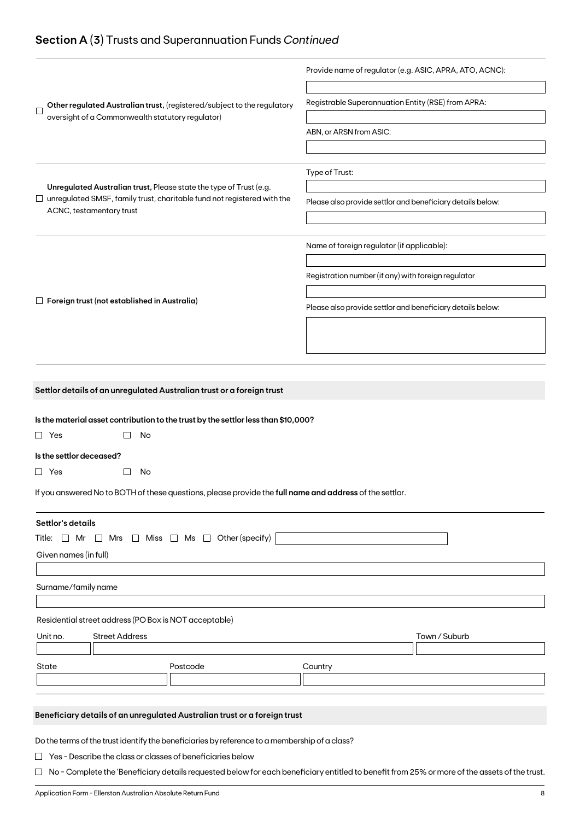## **Section A (3)** Trusts and Superannuation Funds *Continued*

|                                                                                                                                                                                  | Provide name of regulator (e.g. ASIC, APRA, ATO, ACNC):    |
|----------------------------------------------------------------------------------------------------------------------------------------------------------------------------------|------------------------------------------------------------|
| Other regulated Australian trust, (registered/subject to the regulatory<br>$\mathbf{I}$<br>oversight of a Commonwealth statutory regulator)                                      | Registrable Superannuation Entity (RSE) from APRA:         |
|                                                                                                                                                                                  | ABN, or ARSN from ASIC:                                    |
|                                                                                                                                                                                  | Type of Trust:                                             |
| Unregulated Australian trust, Please state the type of Trust (e.g.<br>$\Box$ unregulated SMSF, family trust, charitable fund not registered with the<br>ACNC, testamentary trust | Please also provide settlor and beneficiary details below: |
|                                                                                                                                                                                  | Name of foreign regulator (if applicable):                 |
|                                                                                                                                                                                  | Registration number (if any) with foreign regulator        |
| $\Box$ Foreign trust (not established in Australia)                                                                                                                              | Please also provide settlor and beneficiary details below: |
|                                                                                                                                                                                  |                                                            |
|                                                                                                                                                                                  |                                                            |
| Settlor details of an unregulated Australian trust or a foreign trust                                                                                                            |                                                            |
| Is the material asset contribution to the trust by the settlor less than \$10,000?<br>$\Box$ Yes<br>No                                                                           |                                                            |
| Is the settlor deceased?                                                                                                                                                         |                                                            |
| $\Box$ Yes<br>No                                                                                                                                                                 |                                                            |
| If you answered No to BOTH of these questions, please provide the full name and address of the settlor.                                                                          |                                                            |
| Settlor's details<br>Title: $\Box$ Mr $\Box$ Mrs $\Box$ Miss $\Box$ Ms $\Box$ Other (specify)                                                                                    |                                                            |
| Given names (in full)                                                                                                                                                            |                                                            |
| Surname/family name                                                                                                                                                              |                                                            |
| Residential street address (PO Box is NOT acceptable)                                                                                                                            |                                                            |
| Unit no.<br><b>Street Address</b>                                                                                                                                                | Town / Suburb                                              |
| State<br>Postcode                                                                                                                                                                | Country                                                    |
|                                                                                                                                                                                  |                                                            |
| Beneficiary details of an unregulated Australian trust or a foreign trust                                                                                                        |                                                            |
| Do the terms of the trust identify the beneficiaries by reference to a membership of a class?<br>$\Box$ Yes - Describe the class or classes of beneficiaries below               |                                                            |
|                                                                                                                                                                                  |                                                            |

□ No - Complete the 'Beneficiary details requested below for each beneficiary entitled to benefit from 25% or more of the assets of the trust.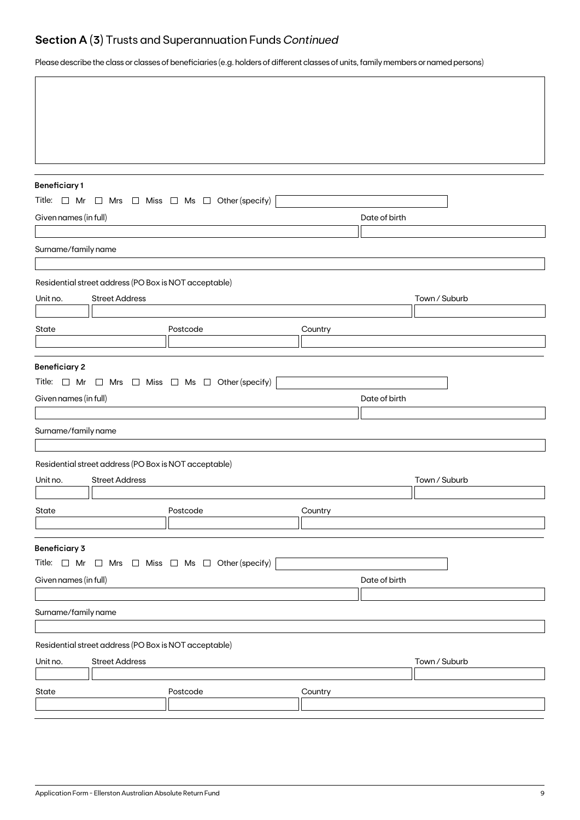## **Section A (3)** Trusts and Superannuation Funds *Continued*

Please describe the class or classes of beneficiaries (e.g. holders of different classes of units, family members or named persons)

| <b>Beneficiary1</b>                           |                                                       |                                                                          |         |               |               |
|-----------------------------------------------|-------------------------------------------------------|--------------------------------------------------------------------------|---------|---------------|---------------|
|                                               |                                                       | Title: $\Box$ Mr $\Box$ Mrs $\Box$ Miss $\Box$ Ms $\Box$ Other (specify) |         |               |               |
| Given names (in full)                         |                                                       |                                                                          |         | Date of birth |               |
|                                               |                                                       |                                                                          |         |               |               |
| Surname/family name                           |                                                       |                                                                          |         |               |               |
|                                               |                                                       |                                                                          |         |               |               |
|                                               | Residential street address (PO Box is NOT acceptable) |                                                                          |         |               |               |
| Unit no.                                      | <b>Street Address</b>                                 |                                                                          |         |               | Town / Suburb |
| State                                         |                                                       | Postcode                                                                 | Country |               |               |
|                                               |                                                       |                                                                          |         |               |               |
| <b>Beneficiary 2</b><br>Given names (in full) |                                                       | Title: $\Box$ Mr $\Box$ Mrs $\Box$ Miss $\Box$ Ms $\Box$ Other (specify) |         | Date of birth |               |
|                                               |                                                       |                                                                          |         |               |               |
| Surname/family name                           |                                                       |                                                                          |         |               |               |
|                                               |                                                       |                                                                          |         |               |               |
|                                               | Residential street address (PO Box is NOT acceptable) |                                                                          |         |               |               |
| Unit no.                                      | <b>Street Address</b>                                 |                                                                          |         |               | Town / Suburb |
| State                                         |                                                       | Postcode                                                                 | Country |               |               |
|                                               |                                                       |                                                                          |         |               |               |
| <b>Beneficiary 3</b>                          |                                                       |                                                                          |         |               |               |
|                                               |                                                       | Title: $\Box$ Mr $\Box$ Mrs $\Box$ Miss $\Box$ Ms $\Box$ Other (specify) |         |               |               |
| Given names (in full)                         |                                                       |                                                                          |         | Date of birth |               |
|                                               |                                                       |                                                                          |         |               |               |
| Surname/family name                           |                                                       |                                                                          |         |               |               |
|                                               | Residential street address (PO Box is NOT acceptable) |                                                                          |         |               |               |
| Unit no.                                      | <b>Street Address</b>                                 |                                                                          |         |               | Town / Suburb |
|                                               |                                                       |                                                                          |         |               |               |
| State                                         |                                                       | Postcode                                                                 | Country |               |               |
|                                               |                                                       |                                                                          |         |               |               |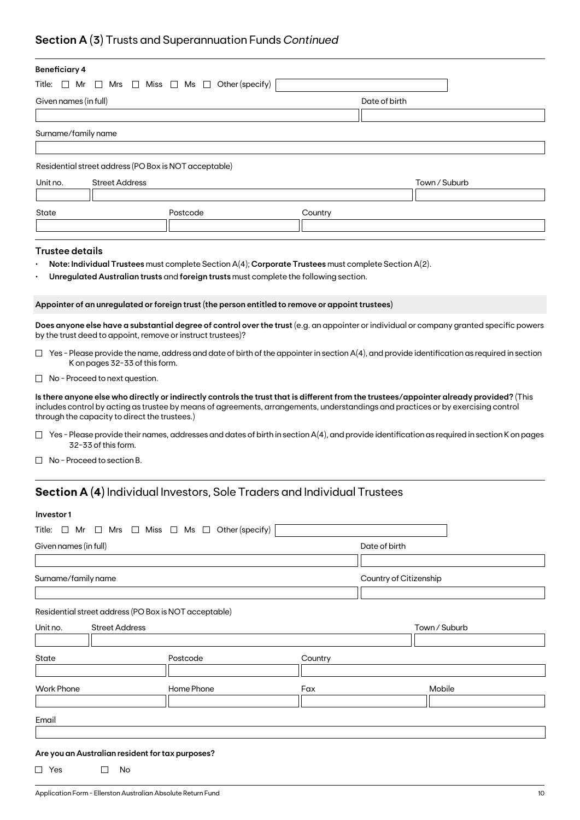## **Section A (3)** Trusts and Superannuation Funds *Continued*

| <b>Beneficiary 4</b>                                                        |                                                                          |                                                                                                      |         |                                                                                                                                                                                                                                                                               |  |
|-----------------------------------------------------------------------------|--------------------------------------------------------------------------|------------------------------------------------------------------------------------------------------|---------|-------------------------------------------------------------------------------------------------------------------------------------------------------------------------------------------------------------------------------------------------------------------------------|--|
| Title: $\Box$ Mr<br>$\Box$ Mrs $\Box$ Miss $\Box$ Ms $\Box$ Other (specify) |                                                                          |                                                                                                      |         |                                                                                                                                                                                                                                                                               |  |
| Given names (in full)                                                       |                                                                          |                                                                                                      |         | Date of birth                                                                                                                                                                                                                                                                 |  |
|                                                                             |                                                                          |                                                                                                      |         |                                                                                                                                                                                                                                                                               |  |
| Surname/family name                                                         |                                                                          |                                                                                                      |         |                                                                                                                                                                                                                                                                               |  |
|                                                                             |                                                                          |                                                                                                      |         |                                                                                                                                                                                                                                                                               |  |
|                                                                             | Residential street address (PO Box is NOT acceptable)                    |                                                                                                      |         |                                                                                                                                                                                                                                                                               |  |
| Unit no.                                                                    | <b>Street Address</b>                                                    |                                                                                                      |         | Town / Suburb                                                                                                                                                                                                                                                                 |  |
|                                                                             |                                                                          |                                                                                                      |         |                                                                                                                                                                                                                                                                               |  |
| State                                                                       |                                                                          | Postcode                                                                                             | Country |                                                                                                                                                                                                                                                                               |  |
|                                                                             |                                                                          |                                                                                                      |         |                                                                                                                                                                                                                                                                               |  |
|                                                                             |                                                                          |                                                                                                      |         |                                                                                                                                                                                                                                                                               |  |
| <b>Trustee details</b>                                                      |                                                                          |                                                                                                      |         |                                                                                                                                                                                                                                                                               |  |
|                                                                             |                                                                          | Note: Individual Trustees must complete Section A(4); Corporate Trustees must complete Section A(2). |         |                                                                                                                                                                                                                                                                               |  |
|                                                                             |                                                                          | Unregulated Australian trusts and foreign trusts must complete the following section.                |         |                                                                                                                                                                                                                                                                               |  |
|                                                                             |                                                                          | Appointer of an unregulated or foreign trust (the person entitled to remove or appoint trustees)     |         |                                                                                                                                                                                                                                                                               |  |
|                                                                             | by the trust deed to appoint, remove or instruct trustees)?              |                                                                                                      |         | Does anyone else have a substantial degree of control over the trust (e.g. an appointer or individual or company granted specific powers                                                                                                                                      |  |
|                                                                             | K on pages 32-33 of this form.                                           |                                                                                                      |         | $\Box$ Yes - Please provide the name, address and date of birth of the appointer in section A(4), and provide identification as required in section                                                                                                                           |  |
|                                                                             | $\Box$ No - Proceed to next question.                                    |                                                                                                      |         |                                                                                                                                                                                                                                                                               |  |
|                                                                             | through the capacity to direct the trustees.)                            |                                                                                                      |         | Is there anyone else who directly or indirectly controls the trust that is different from the trustees/appointer already provided? (This<br>includes control by acting as trustee by means of agreements, arrangements, understandings and practices or by exercising control |  |
|                                                                             | 32-33 of this form.                                                      |                                                                                                      |         | $\Box$ Yes - Please provide their names, addresses and dates of birth in section A(4), and provide identification as required in section K on pages                                                                                                                           |  |
|                                                                             | No - Proceed to section B.                                               |                                                                                                      |         |                                                                                                                                                                                                                                                                               |  |
|                                                                             |                                                                          | <b>Section A (4)</b> Individual Investors, Sole Traders and Individual Trustees                      |         |                                                                                                                                                                                                                                                                               |  |
|                                                                             |                                                                          |                                                                                                      |         |                                                                                                                                                                                                                                                                               |  |
| Investor1                                                                   |                                                                          |                                                                                                      |         |                                                                                                                                                                                                                                                                               |  |
|                                                                             | Title: $\Box$ Mr $\Box$ Mrs $\Box$ Miss $\Box$ Ms $\Box$ Other (specify) |                                                                                                      |         |                                                                                                                                                                                                                                                                               |  |
| Given names (in full)                                                       |                                                                          |                                                                                                      |         | Date of birth                                                                                                                                                                                                                                                                 |  |
|                                                                             |                                                                          |                                                                                                      |         |                                                                                                                                                                                                                                                                               |  |
| Surname/family name                                                         |                                                                          |                                                                                                      |         | Country of Citizenship                                                                                                                                                                                                                                                        |  |
|                                                                             |                                                                          |                                                                                                      |         |                                                                                                                                                                                                                                                                               |  |

Residential street address (PO Box is NOT acceptable)

| Unit no.          | <b>Street Address</b> |            |         | Town / Suburb |  |
|-------------------|-----------------------|------------|---------|---------------|--|
|                   |                       |            |         |               |  |
| State             |                       | Postcode   | Country |               |  |
|                   |                       |            |         |               |  |
| <b>Work Phone</b> |                       | Home Phone | Fax     | Mobile        |  |
|                   |                       |            |         |               |  |
| Email             |                       |            |         |               |  |
|                   |                       |            |         |               |  |

### **Are you an Australian resident for tax purposes?**

 $\Box$  Yes  $\Box$  No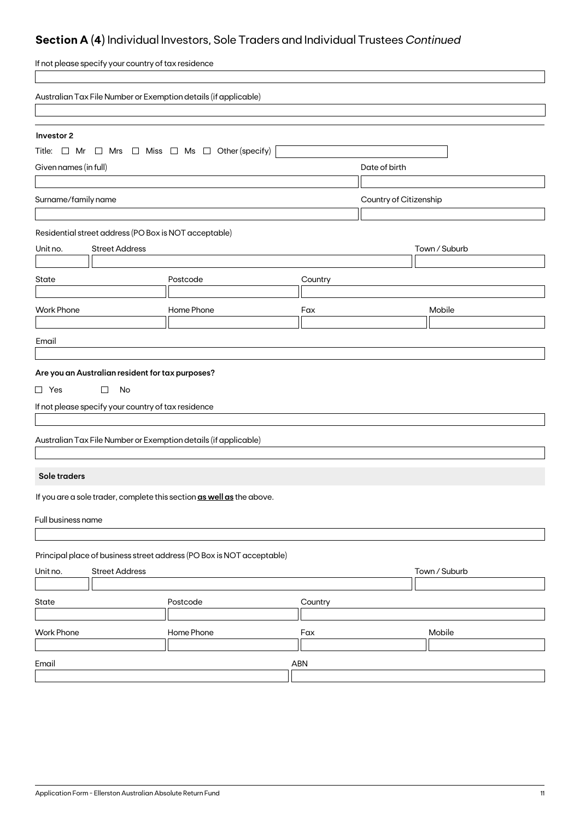## **Section A (4)** Individual Investors, Sole Traders and Individual Trustees *Continued*

| If not please specify your country of tax residence                      |               |         |                        |  |  |
|--------------------------------------------------------------------------|---------------|---------|------------------------|--|--|
| Australian Tax File Number or Exemption details (if applicable)          |               |         |                        |  |  |
|                                                                          |               |         |                        |  |  |
| Investor 2                                                               |               |         |                        |  |  |
| Title: $\Box$ Mr $\Box$ Mrs $\Box$ Miss $\Box$ Ms $\Box$ Other (specify) |               |         |                        |  |  |
| Given names (in full)                                                    |               |         | Date of birth          |  |  |
|                                                                          |               |         |                        |  |  |
| Surname/family name                                                      |               |         | Country of Citizenship |  |  |
|                                                                          |               |         |                        |  |  |
| Residential street address (PO Box is NOT acceptable)                    |               |         |                        |  |  |
| <b>Street Address</b><br>Unit no.                                        |               |         | Town / Suburb          |  |  |
| State                                                                    | Postcode      | Country |                        |  |  |
|                                                                          |               |         |                        |  |  |
| <b>Work Phone</b>                                                        | Home Phone    | Fax     | Mobile                 |  |  |
|                                                                          |               |         |                        |  |  |
| Email                                                                    |               |         |                        |  |  |
|                                                                          |               |         |                        |  |  |
| Are you an Australian resident for tax purposes?                         |               |         |                        |  |  |
| $\Box$ Yes<br>$\Box$<br>No                                               |               |         |                        |  |  |
| If not please specify your country of tax residence                      |               |         |                        |  |  |
|                                                                          |               |         |                        |  |  |
| Australian Tax File Number or Exemption details (if applicable)          |               |         |                        |  |  |
|                                                                          |               |         |                        |  |  |
| Sole traders                                                             |               |         |                        |  |  |
| If you are a sole trader, complete this section as well as the above.    |               |         |                        |  |  |
| Full business name                                                       |               |         |                        |  |  |
|                                                                          |               |         |                        |  |  |
| Principal place of business street address (PO Box is NOT acceptable)    |               |         |                        |  |  |
| <b>Street Address</b><br>Unit no.                                        | Town / Suburb |         |                        |  |  |
|                                                                          |               |         |                        |  |  |
| State                                                                    | Postcode      | Country |                        |  |  |
|                                                                          |               |         |                        |  |  |
| <b>Work Phone</b>                                                        | Home Phone    | Fax     | Mobile                 |  |  |
| Email                                                                    |               | ABN     |                        |  |  |
|                                                                          |               |         |                        |  |  |
|                                                                          |               |         |                        |  |  |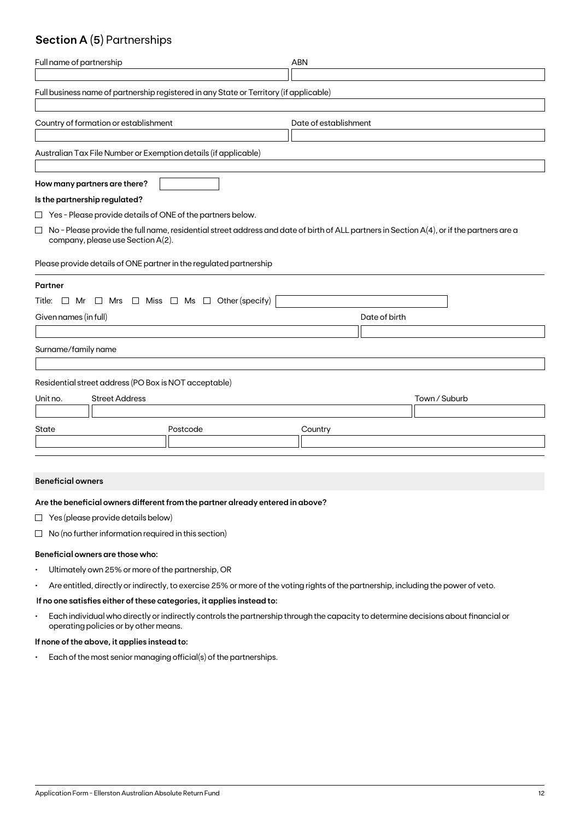## **Section A (5)** Partnerships

| Full name of partnership                                                                                                                                                                 | <b>ABN</b>            |  |  |  |  |  |
|------------------------------------------------------------------------------------------------------------------------------------------------------------------------------------------|-----------------------|--|--|--|--|--|
| Full business name of partnership registered in any State or Territory (if applicable)                                                                                                   |                       |  |  |  |  |  |
| Country of formation or establishment                                                                                                                                                    | Date of establishment |  |  |  |  |  |
| Australian Tax File Number or Exemption details (if applicable)                                                                                                                          |                       |  |  |  |  |  |
| How many partners are there?                                                                                                                                                             |                       |  |  |  |  |  |
| Is the partnership regulated?                                                                                                                                                            |                       |  |  |  |  |  |
| $\Box$ Yes - Please provide details of ONE of the partners below.                                                                                                                        |                       |  |  |  |  |  |
| No - Please provide the full name, residential street address and date of birth of ALL partners in Section A(4), or if the partners are a<br>$\Box$<br>company, please use Section A(2). |                       |  |  |  |  |  |
| Please provide details of ONE partner in the regulated partnership                                                                                                                       |                       |  |  |  |  |  |
| Partner                                                                                                                                                                                  |                       |  |  |  |  |  |
| Title: $\Box$ Mr $\Box$ Mrs $\Box$ Miss $\Box$ Ms $\Box$ Other (specify)                                                                                                                 |                       |  |  |  |  |  |
| Given names (in full)                                                                                                                                                                    | Date of birth         |  |  |  |  |  |
|                                                                                                                                                                                          |                       |  |  |  |  |  |
| Surname/family name                                                                                                                                                                      |                       |  |  |  |  |  |
| Residential street address (PO Box is NOT acceptable)                                                                                                                                    |                       |  |  |  |  |  |
| <b>Street Address</b><br>Unit no.                                                                                                                                                        | Town / Suburb         |  |  |  |  |  |
|                                                                                                                                                                                          |                       |  |  |  |  |  |
| State<br>Postcode                                                                                                                                                                        | Country               |  |  |  |  |  |
|                                                                                                                                                                                          |                       |  |  |  |  |  |

### **Beneficial owners**

### **Are the beneficial owners different from the partner already entered in above?**

- $\Box$  Yes (please provide details below)
- $\Box$  No (no further information required in this section)

### **Beneficial owners are those who:**

- Ultimately own 25% or more of the partnership, OR
- Are entitled, directly or indirectly, to exercise 25% or more of the voting rights of the partnership, including the power of veto.

### **If no one satisfies either of these categories, it applies instead to:**

• Each individual who directly or indirectly controls the partnership through the capacity to determine decisions about financial or operating policies or by other means.

### **If none of the above, it applies instead to:**

• Each of the most senior managing official(s) of the partnerships.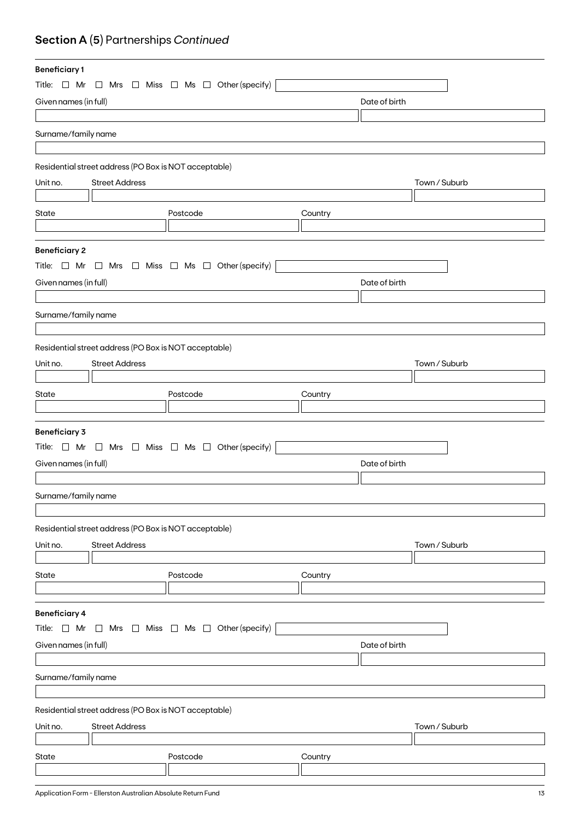## **Section A (5)** Partnerships *Continued*

| <b>Beneficiary1</b>   |                                                       |                                                                          |         |               |               |
|-----------------------|-------------------------------------------------------|--------------------------------------------------------------------------|---------|---------------|---------------|
|                       |                                                       | Title: $\Box$ Mr $\Box$ Mrs $\Box$ Miss $\Box$ Ms $\Box$ Other (specify) |         |               |               |
| Given names (in full) |                                                       |                                                                          |         | Date of birth |               |
|                       |                                                       |                                                                          |         |               |               |
| Surname/family name   |                                                       |                                                                          |         |               |               |
|                       |                                                       |                                                                          |         |               |               |
|                       | Residential street address (PO Box is NOT acceptable) |                                                                          |         |               |               |
|                       |                                                       |                                                                          |         |               |               |
| Unit no.              | <b>Street Address</b>                                 |                                                                          |         |               | Town / Suburb |
|                       |                                                       |                                                                          |         |               |               |
| State                 |                                                       | Postcode                                                                 | Country |               |               |
|                       |                                                       |                                                                          |         |               |               |
| <b>Beneficiary 2</b>  |                                                       |                                                                          |         |               |               |
|                       |                                                       | Title: $\Box$ Mr $\Box$ Mrs $\Box$ Miss $\Box$ Ms $\Box$ Other (specify) |         |               |               |
| Given names (in full) |                                                       |                                                                          |         | Date of birth |               |
|                       |                                                       |                                                                          |         |               |               |
| Surname/family name   |                                                       |                                                                          |         |               |               |
|                       |                                                       |                                                                          |         |               |               |
|                       | Residential street address (PO Box is NOT acceptable) |                                                                          |         |               |               |
|                       | <b>Street Address</b>                                 |                                                                          |         |               |               |
| Unit no.              |                                                       |                                                                          |         |               | Town / Suburb |
|                       |                                                       |                                                                          |         |               |               |
| State                 |                                                       | Postcode                                                                 | Country |               |               |
|                       |                                                       |                                                                          |         |               |               |
| <b>Beneficiary 3</b>  |                                                       |                                                                          |         |               |               |
|                       |                                                       | Title: $\Box$ Mr $\Box$ Mrs $\Box$ Miss $\Box$ Ms $\Box$ Other (specify) |         |               |               |
| Given names (in full) |                                                       |                                                                          |         | Date of birth |               |
|                       |                                                       |                                                                          |         |               |               |
| Surname/family name   |                                                       |                                                                          |         |               |               |
|                       |                                                       |                                                                          |         |               |               |
|                       | Residential street address (PO Box is NOT acceptable) |                                                                          |         |               |               |
|                       |                                                       |                                                                          |         |               |               |
| Unit no.              | <b>Street Address</b>                                 |                                                                          |         |               | Town / Suburb |
|                       |                                                       |                                                                          |         |               |               |
| State                 |                                                       | Postcode                                                                 | Country |               |               |
|                       |                                                       |                                                                          |         |               |               |
| <b>Beneficiary 4</b>  |                                                       |                                                                          |         |               |               |
| Title: $\Box$ Mr      |                                                       | $\Box$ Mrs $\Box$ Miss $\Box$ Ms $\Box$ Other (specify)                  |         |               |               |
| Given names (in full) |                                                       |                                                                          |         | Date of birth |               |
|                       |                                                       |                                                                          |         |               |               |
| Surname/family name   |                                                       |                                                                          |         |               |               |
|                       |                                                       |                                                                          |         |               |               |
|                       | Residential street address (PO Box is NOT acceptable) |                                                                          |         |               |               |
|                       |                                                       |                                                                          |         |               |               |
| Unit no.              | <b>Street Address</b>                                 |                                                                          |         |               | Town / Suburb |
|                       |                                                       |                                                                          |         |               |               |
| State                 |                                                       | Postcode                                                                 | Country |               |               |
|                       |                                                       |                                                                          |         |               |               |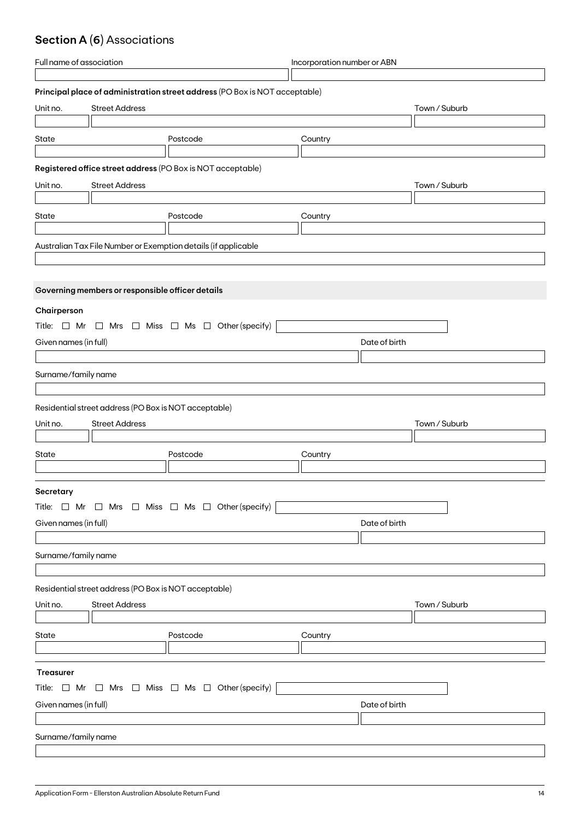## **Section A (6)** Associations

| Full name of association                                                 |                                                       | Incorporation number or ABN                                                 |         |               |               |
|--------------------------------------------------------------------------|-------------------------------------------------------|-----------------------------------------------------------------------------|---------|---------------|---------------|
|                                                                          |                                                       |                                                                             |         |               |               |
|                                                                          |                                                       | Principal place of administration street address (PO Box is NOT acceptable) |         |               |               |
| Unit no.                                                                 | <b>Street Address</b>                                 |                                                                             |         |               | Town / Suburb |
|                                                                          |                                                       |                                                                             |         |               |               |
| State                                                                    |                                                       | Postcode                                                                    | Country |               |               |
|                                                                          |                                                       |                                                                             |         |               |               |
|                                                                          |                                                       | Registered office street address (PO Box is NOT acceptable)                 |         |               |               |
| Unit no.                                                                 | <b>Street Address</b>                                 |                                                                             |         |               | Town / Suburb |
|                                                                          |                                                       |                                                                             |         |               |               |
| State                                                                    |                                                       | Postcode                                                                    | Country |               |               |
|                                                                          |                                                       |                                                                             |         |               |               |
|                                                                          |                                                       | Australian Tax File Number or Exemption details (if applicable              |         |               |               |
|                                                                          |                                                       |                                                                             |         |               |               |
|                                                                          |                                                       |                                                                             |         |               |               |
|                                                                          | Governing members or responsible officer details      |                                                                             |         |               |               |
|                                                                          |                                                       |                                                                             |         |               |               |
| Chairperson                                                              |                                                       |                                                                             |         |               |               |
|                                                                          |                                                       | Title: $\Box$ Mr $\Box$ Mrs $\Box$ Miss $\Box$ Ms $\Box$ Other (specify)    |         |               |               |
| Given names (in full)                                                    |                                                       |                                                                             |         | Date of birth |               |
|                                                                          |                                                       |                                                                             |         |               |               |
| Surname/family name                                                      |                                                       |                                                                             |         |               |               |
|                                                                          |                                                       |                                                                             |         |               |               |
|                                                                          | Residential street address (PO Box is NOT acceptable) |                                                                             |         |               |               |
|                                                                          |                                                       |                                                                             |         |               |               |
| Unit no.                                                                 | <b>Street Address</b>                                 |                                                                             |         |               | Town / Suburb |
|                                                                          |                                                       |                                                                             |         |               |               |
| State                                                                    |                                                       | Postcode                                                                    | Country |               |               |
|                                                                          |                                                       |                                                                             |         |               |               |
| Secretary                                                                |                                                       |                                                                             |         |               |               |
|                                                                          |                                                       | Title: $\Box$ Mr $\Box$ Mrs $\Box$ Miss $\Box$ Ms $\Box$ Other (specify)    |         |               |               |
| Given names (in full)                                                    |                                                       |                                                                             |         | Date of birth |               |
|                                                                          |                                                       |                                                                             |         |               |               |
|                                                                          |                                                       |                                                                             |         |               |               |
| Surname/family name                                                      |                                                       |                                                                             |         |               |               |
|                                                                          |                                                       |                                                                             |         |               |               |
|                                                                          | Residential street address (PO Box is NOT acceptable) |                                                                             |         |               |               |
| Unit no.                                                                 | <b>Street Address</b>                                 |                                                                             |         |               | Town / Suburb |
|                                                                          |                                                       |                                                                             |         |               |               |
| State                                                                    |                                                       | Postcode                                                                    | Country |               |               |
|                                                                          |                                                       |                                                                             |         |               |               |
|                                                                          |                                                       |                                                                             |         |               |               |
| Treasurer                                                                |                                                       |                                                                             |         |               |               |
| Title: $\Box$ Mr $\Box$ Mrs $\Box$ Miss $\Box$ Ms $\Box$ Other (specify) |                                                       |                                                                             |         |               |               |
| Given names (in full)                                                    |                                                       |                                                                             |         | Date of birth |               |
|                                                                          |                                                       |                                                                             |         |               |               |
| Surname/family name                                                      |                                                       |                                                                             |         |               |               |
|                                                                          |                                                       |                                                                             |         |               |               |
|                                                                          |                                                       |                                                                             |         |               |               |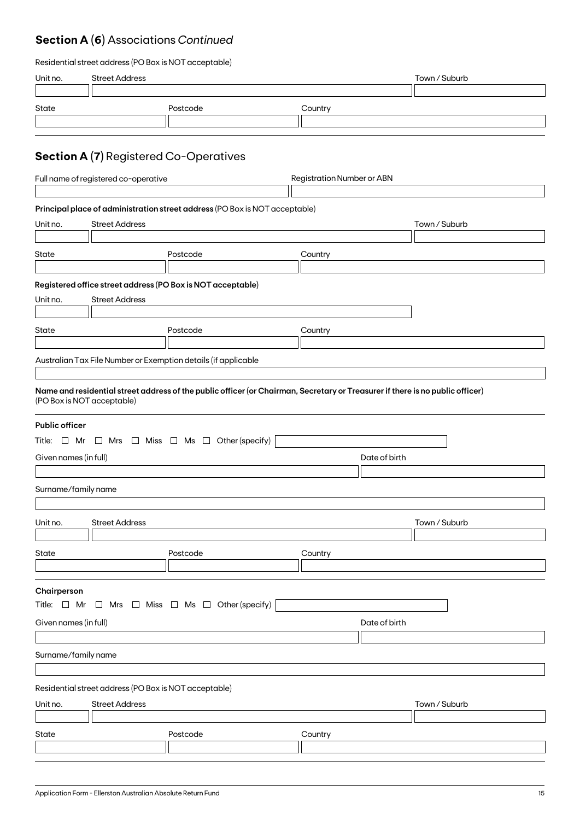## **Section A (6)** Associations *Continued*

| Residential street address (PO Box is NOT acceptable) |  |  |
|-------------------------------------------------------|--|--|
|-------------------------------------------------------|--|--|

| Unit no.                                                                                                                          | <b>Street Address</b>                                                     |                                                                                                                                                                                                 |               | Town / Suburb |  |  |
|-----------------------------------------------------------------------------------------------------------------------------------|---------------------------------------------------------------------------|-------------------------------------------------------------------------------------------------------------------------------------------------------------------------------------------------|---------------|---------------|--|--|
| State                                                                                                                             |                                                                           | Postcode                                                                                                                                                                                        | Country       |               |  |  |
|                                                                                                                                   | <b>Section A (7)</b> Registered Co-Operatives                             |                                                                                                                                                                                                 |               |               |  |  |
|                                                                                                                                   | Full name of registered co-operative<br><b>Registration Number or ABN</b> |                                                                                                                                                                                                 |               |               |  |  |
| Unit no.                                                                                                                          | <b>Street Address</b>                                                     | Principal place of administration street address (PO Box is NOT acceptable)                                                                                                                     |               | Town / Suburb |  |  |
| State                                                                                                                             |                                                                           | Postcode                                                                                                                                                                                        | Country       |               |  |  |
| Unit no.                                                                                                                          | <b>Street Address</b>                                                     | Registered office street address (PO Box is NOT acceptable)                                                                                                                                     |               |               |  |  |
| State                                                                                                                             |                                                                           | Postcode                                                                                                                                                                                        | Country       |               |  |  |
|                                                                                                                                   | (PO Box is NOT acceptable)                                                | Australian Tax File Number or Exemption details (if applicable<br>Name and residential street address of the public officer (or Chairman, Secretary or Treasurer if there is no public officer) |               |               |  |  |
| <b>Public officer</b>                                                                                                             |                                                                           | Title: $\Box$ Mr $\Box$ Mrs $\Box$ Miss $\Box$ Ms $\Box$ Other (specify)                                                                                                                        |               |               |  |  |
| Given names (in full)                                                                                                             |                                                                           |                                                                                                                                                                                                 | Date of birth |               |  |  |
| Surname/family name                                                                                                               |                                                                           |                                                                                                                                                                                                 |               |               |  |  |
| Unit no.                                                                                                                          | <b>Street Address</b>                                                     |                                                                                                                                                                                                 |               | Town / Suburb |  |  |
| State                                                                                                                             |                                                                           | Postcode                                                                                                                                                                                        | Country       |               |  |  |
| Chairperson<br>Title: $\Box$ Mr $\Box$ Mrs $\Box$ Miss $\Box$ Ms $\Box$ Other (specify)<br>Given names (in full)<br>Date of birth |                                                                           |                                                                                                                                                                                                 |               |               |  |  |
| Surname/family name                                                                                                               |                                                                           |                                                                                                                                                                                                 |               |               |  |  |
| Residential street address (PO Box is NOT acceptable)<br><b>Street Address</b><br>Town / Suburb<br>Unit no.                       |                                                                           |                                                                                                                                                                                                 |               |               |  |  |
| State                                                                                                                             |                                                                           | Postcode                                                                                                                                                                                        | Country       |               |  |  |
|                                                                                                                                   |                                                                           |                                                                                                                                                                                                 |               |               |  |  |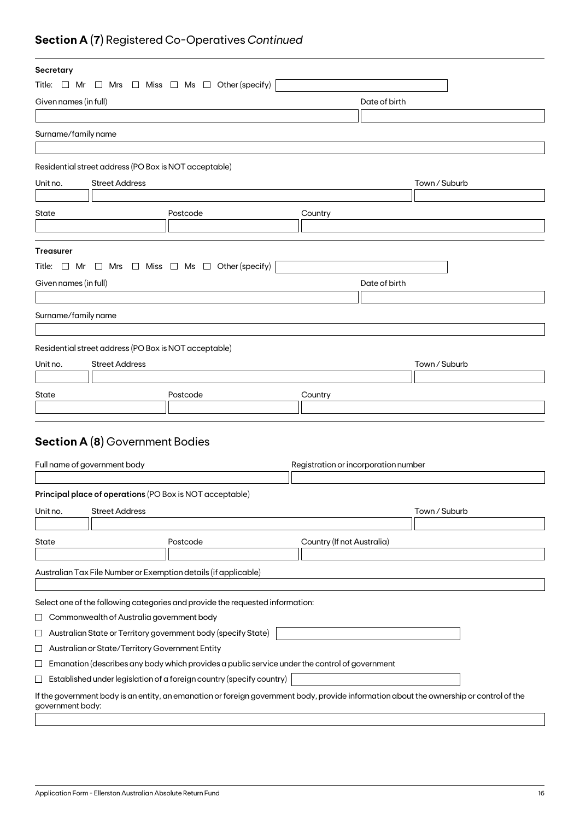## **Section A (7)** Registered Co-Operatives *Continued*

| Secretary                                                                                                             |                                                                                                                                                                                   |                                                                                                                                         |                                      |               |               |
|-----------------------------------------------------------------------------------------------------------------------|-----------------------------------------------------------------------------------------------------------------------------------------------------------------------------------|-----------------------------------------------------------------------------------------------------------------------------------------|--------------------------------------|---------------|---------------|
|                                                                                                                       |                                                                                                                                                                                   | Title: $\Box$ Mr $\Box$ Mrs $\Box$ Miss $\Box$ Ms $\Box$ Other (specify)                                                                |                                      |               |               |
| Given names (in full)                                                                                                 |                                                                                                                                                                                   |                                                                                                                                         |                                      | Date of birth |               |
|                                                                                                                       |                                                                                                                                                                                   |                                                                                                                                         |                                      |               |               |
| Surname/family name                                                                                                   |                                                                                                                                                                                   |                                                                                                                                         |                                      |               |               |
|                                                                                                                       |                                                                                                                                                                                   |                                                                                                                                         |                                      |               |               |
|                                                                                                                       | Residential street address (PO Box is NOT acceptable)                                                                                                                             |                                                                                                                                         |                                      |               |               |
| Unit no.                                                                                                              | <b>Street Address</b>                                                                                                                                                             |                                                                                                                                         |                                      |               | Town / Suburb |
|                                                                                                                       |                                                                                                                                                                                   |                                                                                                                                         |                                      |               |               |
| State                                                                                                                 |                                                                                                                                                                                   | Postcode                                                                                                                                | Country                              |               |               |
|                                                                                                                       |                                                                                                                                                                                   |                                                                                                                                         |                                      |               |               |
|                                                                                                                       |                                                                                                                                                                                   |                                                                                                                                         |                                      |               |               |
| <b>Treasurer</b>                                                                                                      |                                                                                                                                                                                   |                                                                                                                                         |                                      |               |               |
|                                                                                                                       |                                                                                                                                                                                   | Title: $\Box$ Mr $\Box$ Mrs $\Box$ Miss $\Box$ Ms $\Box$ Other (specify)                                                                |                                      |               |               |
| Given names (in full)                                                                                                 |                                                                                                                                                                                   |                                                                                                                                         |                                      | Date of birth |               |
|                                                                                                                       |                                                                                                                                                                                   |                                                                                                                                         |                                      |               |               |
| Surname/family name                                                                                                   |                                                                                                                                                                                   |                                                                                                                                         |                                      |               |               |
|                                                                                                                       |                                                                                                                                                                                   |                                                                                                                                         |                                      |               |               |
|                                                                                                                       | Residential street address (PO Box is NOT acceptable)                                                                                                                             |                                                                                                                                         |                                      |               |               |
| Unit no.                                                                                                              | <b>Street Address</b>                                                                                                                                                             |                                                                                                                                         |                                      |               | Town / Suburb |
|                                                                                                                       |                                                                                                                                                                                   |                                                                                                                                         |                                      |               |               |
| State                                                                                                                 |                                                                                                                                                                                   | Postcode                                                                                                                                | Country                              |               |               |
|                                                                                                                       |                                                                                                                                                                                   |                                                                                                                                         |                                      |               |               |
|                                                                                                                       |                                                                                                                                                                                   |                                                                                                                                         |                                      |               |               |
|                                                                                                                       | <b>Section A (8)</b> Government Bodies                                                                                                                                            |                                                                                                                                         |                                      |               |               |
|                                                                                                                       |                                                                                                                                                                                   |                                                                                                                                         |                                      |               |               |
|                                                                                                                       | Full name of government body                                                                                                                                                      |                                                                                                                                         | Registration or incorporation number |               |               |
|                                                                                                                       |                                                                                                                                                                                   | Principal place of operations (PO Box is NOT acceptable)                                                                                |                                      |               |               |
|                                                                                                                       |                                                                                                                                                                                   |                                                                                                                                         |                                      |               |               |
| Unit no.                                                                                                              | <b>Street Address</b>                                                                                                                                                             |                                                                                                                                         |                                      |               | Town / Suburb |
|                                                                                                                       |                                                                                                                                                                                   |                                                                                                                                         |                                      |               |               |
| State                                                                                                                 |                                                                                                                                                                                   | Postcode                                                                                                                                | Country (If not Australia)           |               |               |
|                                                                                                                       |                                                                                                                                                                                   | Australian Tax File Number or Exemption details (if applicable)                                                                         |                                      |               |               |
|                                                                                                                       |                                                                                                                                                                                   |                                                                                                                                         |                                      |               |               |
|                                                                                                                       |                                                                                                                                                                                   | Select one of the following categories and provide the requested information:                                                           |                                      |               |               |
|                                                                                                                       |                                                                                                                                                                                   |                                                                                                                                         |                                      |               |               |
| Commonwealth of Australia government body<br>ப                                                                        |                                                                                                                                                                                   |                                                                                                                                         |                                      |               |               |
| Australian State or Territory government body (specify State)<br>ப<br>Australian or State/Territory Government Entity |                                                                                                                                                                                   |                                                                                                                                         |                                      |               |               |
| ப                                                                                                                     |                                                                                                                                                                                   |                                                                                                                                         |                                      |               |               |
|                                                                                                                       | Emanation (describes any body which provides a public service under the control of government<br>$\sqcup$<br>Established under legislation of a foreign country (specify country) |                                                                                                                                         |                                      |               |               |
| $\sqcup$                                                                                                              |                                                                                                                                                                                   |                                                                                                                                         |                                      |               |               |
| government body:                                                                                                      |                                                                                                                                                                                   | If the government body is an entity, an emanation or foreign government body, provide information about the ownership or control of the |                                      |               |               |
|                                                                                                                       |                                                                                                                                                                                   |                                                                                                                                         |                                      |               |               |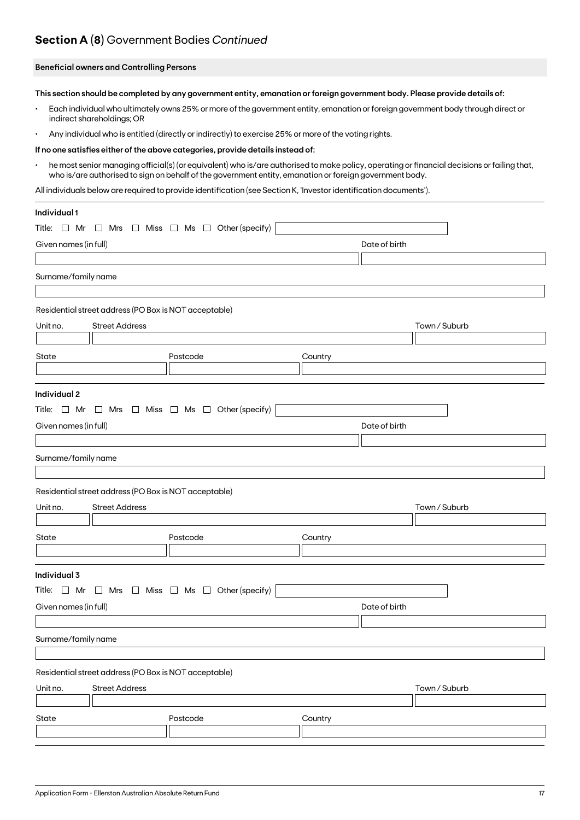## **Section A (8)** Government Bodies *Continued*

### **Beneficial owners and Controlling Persons**

**This section should be completed by any government entity, emanation or foreign government body. Please provide details of:**

- Each individual who ultimately owns 25% or more of the government entity, emanation or foreign government body through direct or indirect shareholdings; OR
- Any individual who is entitled (directly or indirectly) to exercise 25% or more of the voting rights.

#### **If no one satisfies either of the above categories, provide details instead of:**

• he most senior managing official(s) (or equivalent) who is/are authorised to make policy, operating or financial decisions or failing that, who is/are authorised to sign on behalf of the government entity, emanation or foreign government body.

All individuals below are required to provide identification (see Section K, 'Investor identification documents').

| Individual 1                                                             |          |               |               |
|--------------------------------------------------------------------------|----------|---------------|---------------|
| Title: $\Box$ Mr $\Box$ Mrs $\Box$ Miss $\Box$ Ms $\Box$ Other (specify) |          |               |               |
| Given names (in full)                                                    |          | Date of birth |               |
|                                                                          |          |               |               |
| Surname/family name                                                      |          |               |               |
|                                                                          |          |               |               |
| Residential street address (PO Box is NOT acceptable)                    |          |               |               |
| <b>Street Address</b><br>Unit no.                                        |          |               | Town / Suburb |
|                                                                          |          |               |               |
| State                                                                    | Postcode | Country       |               |
|                                                                          |          |               |               |
| Individual 2                                                             |          |               |               |
| Title: $\Box$ Mr $\Box$ Mrs $\Box$ Miss $\Box$ Ms $\Box$ Other (specify) |          |               |               |
| Given names (in full)                                                    |          | Date of birth |               |
|                                                                          |          |               |               |
| Surname/family name                                                      |          |               |               |
|                                                                          |          |               |               |
| Residential street address (PO Box is NOT acceptable)                    |          |               |               |
| Unit no.<br><b>Street Address</b>                                        |          |               | Town / Suburb |
|                                                                          |          |               |               |
| State                                                                    | Postcode | Country       |               |
|                                                                          |          |               |               |
| Individual 3                                                             |          |               |               |
| Title: $\Box$ Mr $\Box$ Mrs $\Box$ Miss $\Box$ Ms $\Box$ Other (specify) |          |               |               |
| Given names (in full)                                                    |          | Date of birth |               |
|                                                                          |          |               |               |
| Surname/family name                                                      |          |               |               |
|                                                                          |          |               |               |
| Residential street address (PO Box is NOT acceptable)                    |          |               |               |
| Unit no.<br><b>Street Address</b>                                        |          |               | Town / Suburb |
|                                                                          |          |               |               |
| State                                                                    | Postcode | Country       |               |
|                                                                          |          |               |               |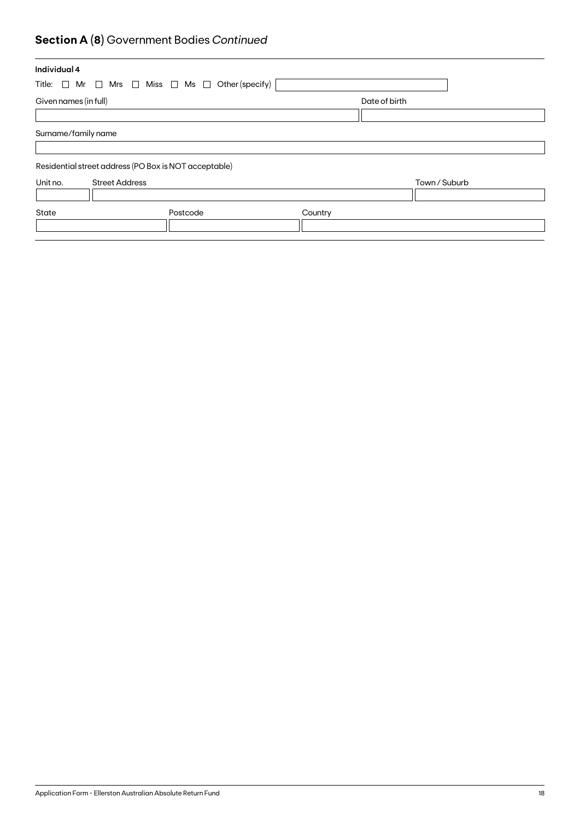## **Section A (8)** Government Bodies *Continued*

| Individual 4                                                             |          |         |               |  |
|--------------------------------------------------------------------------|----------|---------|---------------|--|
| Title: $\Box$ Mr $\Box$ Mrs $\Box$ Miss $\Box$ Ms $\Box$ Other (specify) |          |         |               |  |
| Given names (in full)                                                    |          |         | Date of birth |  |
|                                                                          |          |         |               |  |
| Surname/family name                                                      |          |         |               |  |
|                                                                          |          |         |               |  |
| Residential street address (PO Box is NOT acceptable)                    |          |         |               |  |
| Unit no.<br><b>Street Address</b>                                        |          |         | Town / Suburb |  |
|                                                                          |          |         |               |  |
| State                                                                    | Postcode | Country |               |  |
|                                                                          |          |         |               |  |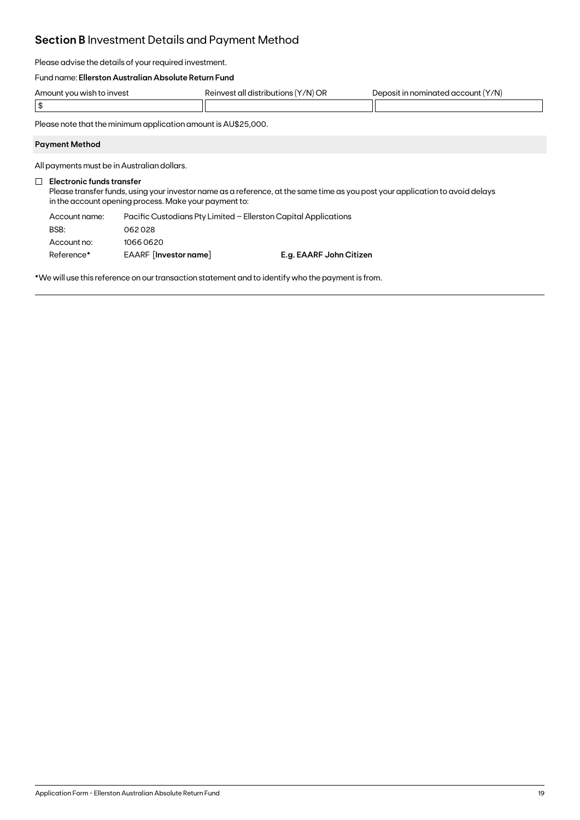## **Section B** Investment Details and Payment Method

Please advise the details of your required investment.

### Fund name: **Ellerston Australian Absolute Return Fund**

| t vou wish to invest :<br>Amount | '/N) OR<br>' t all distributions,<br>Reinvest | (Y/N)<br>n nominated account<br>۱n<br><b>Jenosit</b> |
|----------------------------------|-----------------------------------------------|------------------------------------------------------|
| m<br>$\sim$ 13                   |                                               |                                                      |

Please note that the minimum application amount is AU\$25,000.

### **Payment Method**

All payments must be in Australian dollars.

### **Electronic funds transfer**

Please transfer funds, using your investor name as a reference, at the same time as you post your application to avoid delays in the account opening process. Make your payment to:

| Account name: | Pacific Custodians Pty Limited – Ellerston Capital Applications |                         |  |
|---------------|-----------------------------------------------------------------|-------------------------|--|
| BSB:          | 062028                                                          |                         |  |
| Account no:   | 10660620                                                        |                         |  |
| Reference*    | EAARF [Investor name]                                           | E.g. EAARF John Citizen |  |

\*We will use this reference on our transaction statement and to identify who the payment is from.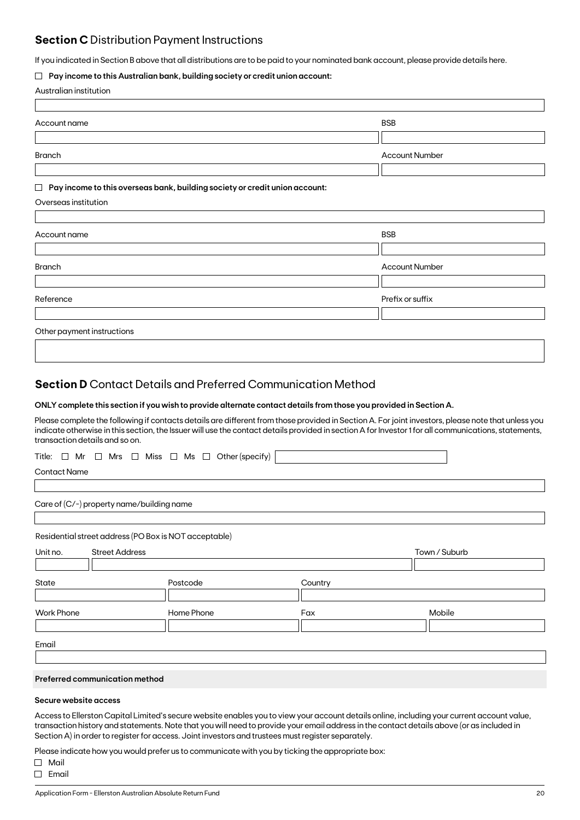### **Section C** Distribution Payment Instructions

If you indicated in Section B above that all distributions are to be paid to your nominated bank account, please provide details here.

### **Pay income to this Australian bank, building society or credit union account:**

|  | Australian institution |
|--|------------------------|
|--|------------------------|

| Account name                                                                          | <b>BSB</b>            |
|---------------------------------------------------------------------------------------|-----------------------|
|                                                                                       |                       |
| <b>Branch</b>                                                                         | <b>Account Number</b> |
|                                                                                       |                       |
| Pay income to this overseas bank, building society or credit union account:<br>$\Box$ |                       |
| Overseas institution                                                                  |                       |
|                                                                                       |                       |
| Account name                                                                          | <b>BSB</b>            |
|                                                                                       |                       |
| <b>Branch</b>                                                                         | <b>Account Number</b> |
|                                                                                       |                       |
| Reference                                                                             | Prefix or suffix      |
|                                                                                       |                       |
| Other payment instructions                                                            |                       |
|                                                                                       |                       |

### **Section D** Contact Details and Preferred Communication Method

### **ONLY complete this section if you wish to provide alternate contact details from those you provided in Section A.**

Please complete the following if contacts details are different from those provided in Section A. For joint investors, please note that unless you indicate otherwise in this section, the Issuer will use the contact details provided in section A for Investor 1 for all communications, statements, transaction details and so on.

|  |  |  |  |  |  |  |  |  |  | Title: $\Box$ Mr $\Box$ Mrs $\Box$ Miss $\Box$ Ms $\Box$ Other (specify) |  |
|--|--|--|--|--|--|--|--|--|--|--------------------------------------------------------------------------|--|
|--|--|--|--|--|--|--|--|--|--|--------------------------------------------------------------------------|--|

Contact Name

Care of (C/-) property name/building name

Residential street address (PO Box is NOT acceptable)

| Unit no.          | <b>Street Address</b> |            | Town / Suburb |        |  |
|-------------------|-----------------------|------------|---------------|--------|--|
|                   |                       |            |               |        |  |
| State             |                       | Postcode   | Country       |        |  |
|                   |                       |            |               |        |  |
| <b>Work Phone</b> |                       | Home Phone | Fax           | Mobile |  |
|                   |                       |            |               |        |  |
|                   |                       |            |               |        |  |
| Email             |                       |            |               |        |  |

### **Preferred communication method**

### **Secure website access**

Access to Ellerston Capital Limited's secure website enables you to view your account details online, including your current account value, transaction history and statements. Note that you will need to provide your email address in the contact details above (or as included in Section A) in order to register for access. Joint investors and trustees must register separately.

Please indicate how you would prefer us to communicate with you by ticking the appropriate box:

Mail

 $\Box$  Email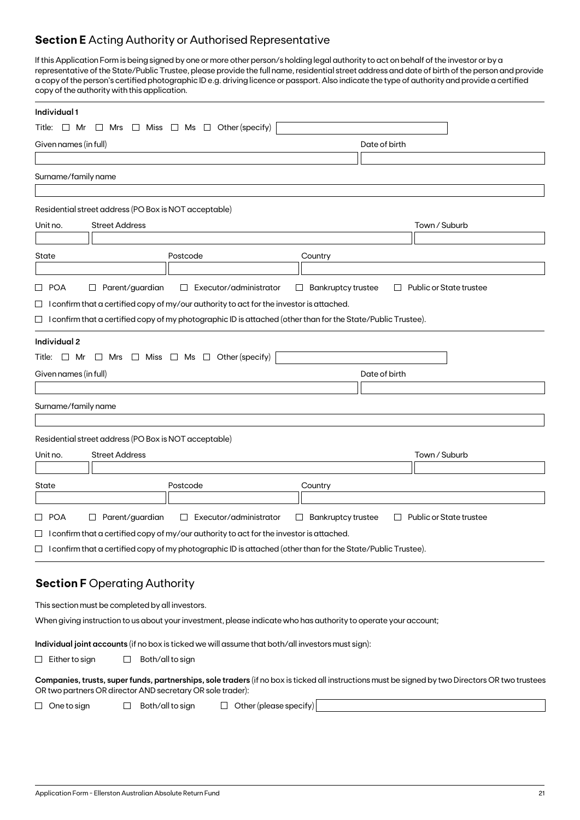### **Section E** Acting Authority or Authorised Representative

If this Application Form is being signed by one or more other person/s holding legal authority to act on behalf of the investor or by a representative of the State/Public Trustee, please provide the full name, residential street address and date of birth of the person and provide a copy of the person's certified photographic ID e.g. driving licence or passport. Also indicate the type of authority and provide a certified copy of the authority with this application.

| Individual 1                                                                                                                                                                                                   |                                                                          |
|----------------------------------------------------------------------------------------------------------------------------------------------------------------------------------------------------------------|--------------------------------------------------------------------------|
| Other (specify)<br>Miss $\Box$ Ms $\Box$<br>Title: $\Box$ Mr<br>$\Box$ Mrs<br>└                                                                                                                                |                                                                          |
| Given names (in full)                                                                                                                                                                                          | Date of birth                                                            |
|                                                                                                                                                                                                                |                                                                          |
| Surname/family name                                                                                                                                                                                            |                                                                          |
|                                                                                                                                                                                                                |                                                                          |
| Residential street address (PO Box is NOT acceptable)                                                                                                                                                          |                                                                          |
| <b>Street Address</b><br>Unit no.                                                                                                                                                                              | Town / Suburb                                                            |
|                                                                                                                                                                                                                |                                                                          |
| State<br>Postcode                                                                                                                                                                                              | Country                                                                  |
| Parent/guardian<br>□ POA<br>Executor/administrator<br>$\Box$                                                                                                                                                   | <b>Bankruptcy trustee</b><br>Public or State trustee<br>$\Box$<br>$\Box$ |
| $\Box$ I confirm that a certified copy of my/our authority to act for the investor is attached.                                                                                                                |                                                                          |
| $\Box$ I confirm that a certified copy of my photographic ID is attached (other than for the State/Public Trustee).                                                                                            |                                                                          |
|                                                                                                                                                                                                                |                                                                          |
| Individual 2<br>Title: $\Box$ Mr $\Box$ Mrs $\Box$ Miss $\Box$ Ms $\Box$ Other (specify)                                                                                                                       |                                                                          |
| Given names (in full)                                                                                                                                                                                          | Date of birth                                                            |
|                                                                                                                                                                                                                |                                                                          |
| Surname/family name                                                                                                                                                                                            |                                                                          |
|                                                                                                                                                                                                                |                                                                          |
| Residential street address (PO Box is NOT acceptable)                                                                                                                                                          |                                                                          |
| <b>Street Address</b><br>Unit no.                                                                                                                                                                              | Town / Suburb                                                            |
|                                                                                                                                                                                                                |                                                                          |
| Postcode<br>State                                                                                                                                                                                              | Country                                                                  |
|                                                                                                                                                                                                                |                                                                          |
| □ POA<br>$\Box$ Parent/guardian<br>Executor/administrator<br>$\Box$                                                                                                                                            | <b>Bankruptcy trustee</b><br>Public or State trustee<br>$\Box$<br>$\Box$ |
| $\Box$ I confirm that a certified copy of my/our authority to act for the investor is attached.                                                                                                                |                                                                          |
| $\Box$ I confirm that a certified copy of my photographic ID is attached (other than for the State/Public Trustee).                                                                                            |                                                                          |
|                                                                                                                                                                                                                |                                                                          |
| <b>Section F Operating Authority</b>                                                                                                                                                                           |                                                                          |
| This section must be completed by all investors.                                                                                                                                                               |                                                                          |
| When giving instruction to us about your investment, please indicate who has authority to operate your account;                                                                                                |                                                                          |
| Individual joint accounts (if no box is ticked we will assume that both/all investors must sign):                                                                                                              |                                                                          |
| Both/all to sign<br>$\Box$ Either to sign<br>ப                                                                                                                                                                 |                                                                          |
|                                                                                                                                                                                                                |                                                                          |
| Companies, trusts, super funds, partnerships, sole traders (if no box is ticked all instructions must be signed by two Directors OR two trustees<br>OR two partners OR director AND secretary OR sole trader): |                                                                          |
| $\Box$ Other (please specify)<br>Both/all to sign<br>$\Box$ One to sign<br>$\Box$                                                                                                                              |                                                                          |
|                                                                                                                                                                                                                |                                                                          |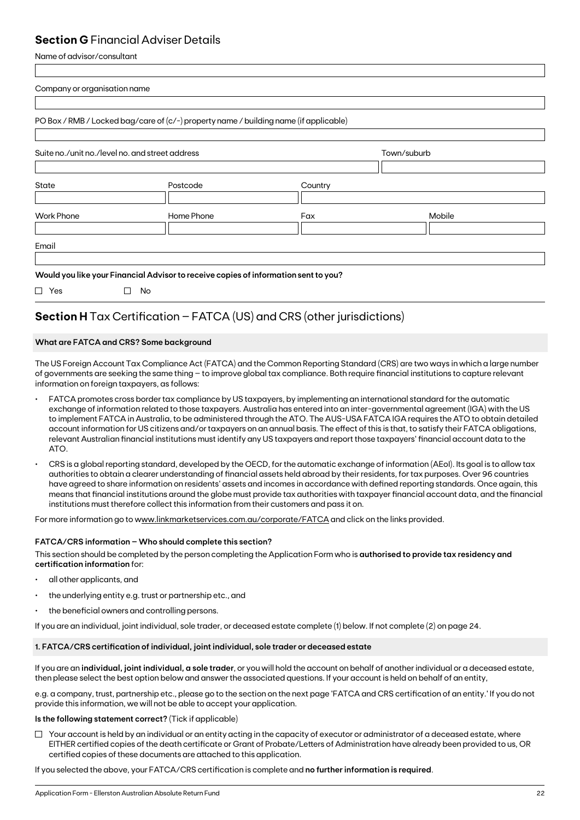### **Section G** Financial Adviser Details

Name of advisor/consultant

| Mobile |
|--------|
|        |
|        |

## **Section H** Tax Certification – FATCA (US) and CRS (other jurisdictions)

### **What are FATCA and CRS? Some background**

The US Foreign Account Tax Compliance Act (FATCA) and the Common Reporting Standard (CRS) are two ways in which a large number of governments are seeking the same thing – to improve global tax compliance. Both require financial institutions to capture relevant information on foreign taxpayers, as follows:

- FATCA promotes cross border tax compliance by US taxpayers, by implementing an international standard for the automatic exchange of information related to those taxpayers. Australia has entered into an inter-governmental agreement (IGA) with the US to implement FATCA in Australia, to be administered through the ATO. The AUS-USA FATCA IGA requires the ATO to obtain detailed account information for US citizens and/or taxpayers on an annual basis. The effect of this is that, to satisfy their FATCA obligations, relevant Australian financial institutions must identify any US taxpayers and report those taxpayers' financial account data to the ATO.
- CRS is a global reporting standard, developed by the OECD, for the automatic exchange of information (AEoI). Its goal is to allow tax authorities to obtain a clearer understanding of financial assets held abroad by their residents, for tax purposes. Over 96 countries have agreed to share information on residents' assets and incomes in accordance with defined reporting standards. Once again, this means that financial institutions around the globe must provide tax authorities with taxpayer financial account data, and the financial institutions must therefore collect this information from their customers and pass it on.

For more information go to www.linkmarketservices.com.au/corporate/FATCA and click on the links provided.

### **FATCA/CRS information – Who should complete this section?**

This section should be completed by the person completing the Application Form who is **authorised to provide tax residency and certification information** for:

- all other applicants, and
- the underlying entity e.g. trust or partnership etc., and
- the beneficial owners and controlling persons.

If you are an individual, joint individual, sole trader, or deceased estate complete (1) below. If not complete (2) on page 24.

### **1. FATCA/CRS certification of individual, joint individual, sole trader or deceased estate**

If you are an **individual, joint individual, a sole trader**, or you will hold the account on behalf of another individual or a deceased estate, then please select the best option below and answer the associated questions. If your account is held on behalf of an entity,

e.g. a company, trust, partnership etc., please go to the section on the next page 'FATCA and CRS certification of an entity.' If you do not provide this information, we will not be able to accept your application.

### **Is the following statement correct?** (Tick if applicable)

 $\Box$  Your account is held by an individual or an entity acting in the capacity of executor or administrator of a deceased estate, where EITHER certified copies of the death certificate or Grant of Probate/Letters of Administration have already been provided to us, OR certified copies of these documents are attached to this application.

If you selected the above, your FATCA/CRS certification is complete and **no further information is required**.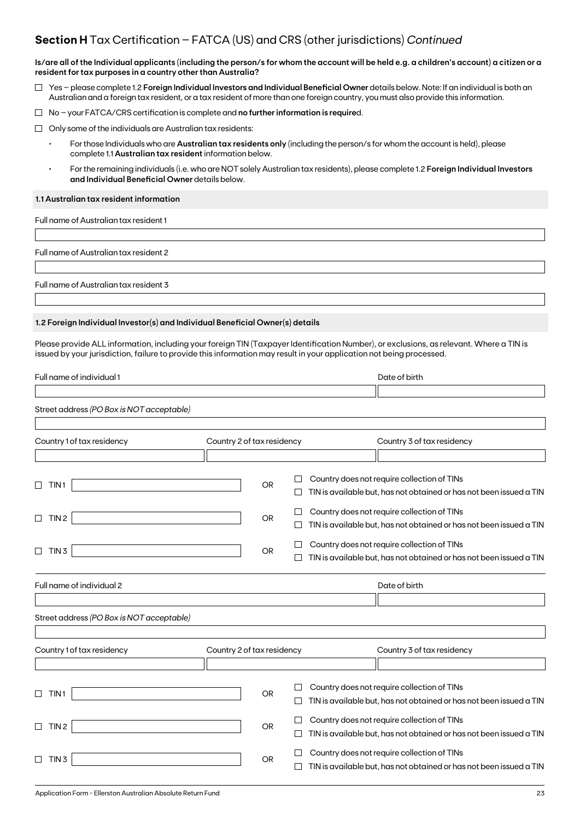### **Section H** Tax Certification – FATCA (US) and CRS (other jurisdictions) *Continued*

**Is/are all of the Individual applicants (including the person/s for whom the account will be held e.g. a children's account) a citizen or a resident for tax purposes in a country other than Australia?**

- Yes please complete 1.2 **Foreign Individual Investors and Individual Beneficial Owner** details below. Note: If an individual is both an Australian and a foreign tax resident, or a tax resident of more than one foreign country, you must also provide this information.
- No your FATCA/CRS certification is complete and **no further information is require**d.
- $\Box$  Only some of the individuals are Australian tax residents:
	- For those Individuals who are **Australian tax residents only** (including the person/s for whom the account is held), please complete 1.1 **Australian tax resident** information below.
	- For the remaining individuals (i.e. who are NOT solely Australian tax residents), please complete 1.2 **Foreign Individual Investors and Individual Beneficial Owner** details below.

### **1.1 Australian tax resident information**

Full name of Australian tax resident 1

Full name of Australian tax resident 2

Full name of Australian tax resident 3

### **1.2 Foreign Individual Investor(s) and Individual Beneficial Owner(s) details**

Please provide ALL information, including your foreign TIN (Taxpayer Identification Number), or exclusions, as relevant. Where a TIN is issued by your jurisdiction, failure to provide this information may result in your application not being processed.

| Full name of individual 1                 |                            |           |        | Date of birth                                                       |
|-------------------------------------------|----------------------------|-----------|--------|---------------------------------------------------------------------|
|                                           |                            |           |        |                                                                     |
| Street address (PO Box is NOT acceptable) |                            |           |        |                                                                     |
|                                           |                            |           |        |                                                                     |
| Country 1 of tax residency                | Country 2 of tax residency |           |        | Country 3 of tax residency                                          |
|                                           |                            |           |        |                                                                     |
|                                           |                            |           |        | Country does not require collection of TINs                         |
| TIN <sub>1</sub>                          |                            | <b>OR</b> |        | TIN is available but, has not obtained or has not been issued a TIN |
|                                           |                            |           |        | Country does not require collection of TINs                         |
| TIN <sub>2</sub><br>□                     |                            | <b>OR</b> |        | TIN is available but, has not obtained or has not been issued a TIN |
|                                           |                            |           |        | Country does not require collection of TINs                         |
| $\Box$<br>TIN <sub>3</sub>                |                            | OR        |        | TIN is available but, has not obtained or has not been issued a TIN |
| Full name of individual 2                 |                            |           |        | Date of birth                                                       |
|                                           |                            |           |        |                                                                     |
| Street address (PO Box is NOT acceptable) |                            |           |        |                                                                     |
|                                           |                            |           |        |                                                                     |
| Country 1 of tax residency                | Country 2 of tax residency |           |        | Country 3 of tax residency                                          |
|                                           |                            |           |        |                                                                     |
|                                           |                            |           |        |                                                                     |
| TIN <sub>1</sub>                          |                            | <b>OR</b> |        | Country does not require collection of TINs                         |
|                                           |                            |           |        | TIN is available but, has not obtained or has not been issued a TIN |
| TIN <sub>2</sub><br>П                     |                            | OR        | $\Box$ | Country does not require collection of TINs                         |
|                                           |                            |           |        | TIN is available but, has not obtained or has not been issued a TIN |
|                                           |                            |           |        | Country does not require collection of TINs                         |
| TIN <sub>3</sub>                          |                            | OR        |        | TIN is available but, has not obtained or has not been issued a TIN |
|                                           |                            |           |        |                                                                     |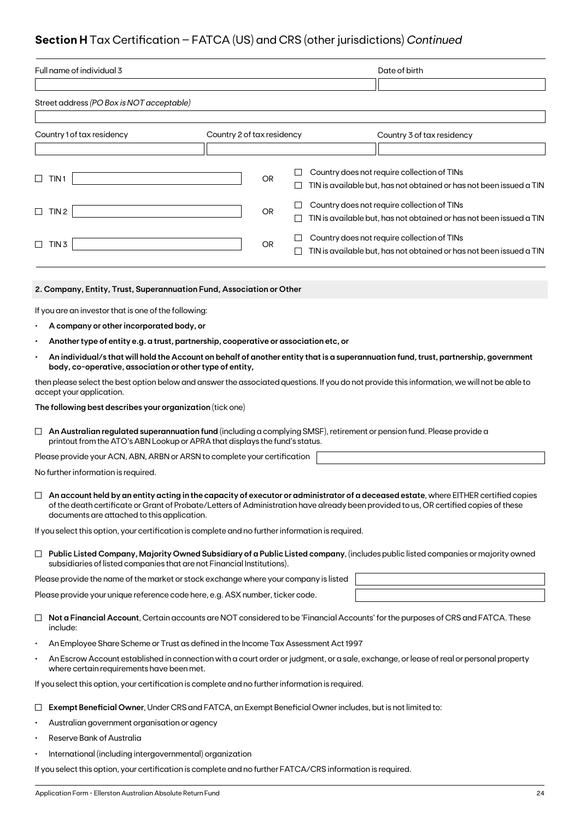## **Section H** Tax Certification – FATCA (US) and CRS (other jurisdictions) *Continued*

|           | Full name of individual 3                                                                                                                                                                                         |                            |           |             |                                             |  | Date of birth                                                                                                                        |
|-----------|-------------------------------------------------------------------------------------------------------------------------------------------------------------------------------------------------------------------|----------------------------|-----------|-------------|---------------------------------------------|--|--------------------------------------------------------------------------------------------------------------------------------------|
|           |                                                                                                                                                                                                                   |                            |           |             |                                             |  |                                                                                                                                      |
|           | Street address (PO Box is NOT acceptable)                                                                                                                                                                         |                            |           |             |                                             |  |                                                                                                                                      |
|           |                                                                                                                                                                                                                   |                            |           |             |                                             |  |                                                                                                                                      |
|           | Country 1 of tax residency                                                                                                                                                                                        | Country 2 of tax residency |           |             |                                             |  | Country 3 of tax residency                                                                                                           |
|           |                                                                                                                                                                                                                   |                            |           |             |                                             |  |                                                                                                                                      |
| $\Box$    | TIN <sub>1</sub>                                                                                                                                                                                                  |                            | <b>OR</b> | ш           |                                             |  | Country does not require collection of TINs                                                                                          |
|           |                                                                                                                                                                                                                   |                            |           |             |                                             |  | TIN is available but, has not obtained or has not been issued a TIN                                                                  |
| ⊔         | TIN <sub>2</sub>                                                                                                                                                                                                  |                            | OR        | ப           | Country does not require collection of TINs |  |                                                                                                                                      |
|           |                                                                                                                                                                                                                   |                            |           | $\Box$      |                                             |  | TIN is available but, has not obtained or has not been issued a TIN                                                                  |
| $\Box$    | TIN 3                                                                                                                                                                                                             |                            | OR        | $\Box$<br>⊔ | Country does not require collection of TINs |  |                                                                                                                                      |
|           |                                                                                                                                                                                                                   |                            |           |             |                                             |  | TIN is available but, has not obtained or has not been issued a TIN                                                                  |
|           |                                                                                                                                                                                                                   |                            |           |             |                                             |  |                                                                                                                                      |
|           | 2. Company, Entity, Trust, Superannuation Fund, Association or Other                                                                                                                                              |                            |           |             |                                             |  |                                                                                                                                      |
|           | If you are an investor that is one of the following:                                                                                                                                                              |                            |           |             |                                             |  |                                                                                                                                      |
|           | A company or other incorporated body, or                                                                                                                                                                          |                            |           |             |                                             |  |                                                                                                                                      |
|           | Another type of entity e.g. a trust, partnership, cooperative or association etc, or                                                                                                                              |                            |           |             |                                             |  |                                                                                                                                      |
|           | An individual/s that will hold the Account on behalf of another entity that is a superannuation fund, trust, partnership, government<br>body, co-operative, association or other type of entity,                  |                            |           |             |                                             |  |                                                                                                                                      |
|           | then please select the best option below and answer the associated questions. If you do not provide this information, we will not be able to<br>accept your application.                                          |                            |           |             |                                             |  |                                                                                                                                      |
|           | The following best describes your organization (tick one)                                                                                                                                                         |                            |           |             |                                             |  |                                                                                                                                      |
| ப         | An Australian regulated superannuation fund (including a complying SMSF), retirement or pension fund. Please provide a                                                                                            |                            |           |             |                                             |  |                                                                                                                                      |
|           | printout from the ATO's ABN Lookup or APRA that displays the fund's status.                                                                                                                                       |                            |           |             |                                             |  |                                                                                                                                      |
|           | Please provide your ACN, ABN, ARBN or ARSN to complete your certification                                                                                                                                         |                            |           |             |                                             |  |                                                                                                                                      |
|           | No further information is required.                                                                                                                                                                               |                            |           |             |                                             |  |                                                                                                                                      |
|           | of the death certificate or Grant of Probate/Letters of Administration have already been provided to us, OR certified copies of these<br>documents are attached to this application.                              |                            |           |             |                                             |  | An account held by an entity acting in the capacity of executor or administrator of a deceased estate, where EITHER certified copies |
|           | If you select this option, your certification is complete and no further information is required.                                                                                                                 |                            |           |             |                                             |  |                                                                                                                                      |
|           |                                                                                                                                                                                                                   |                            |           |             |                                             |  |                                                                                                                                      |
|           | $\Box$ Public Listed Company, Majority Owned Subsidiary of a Public Listed company, (includes public listed companies or majority owned<br>subsidiaries of listed companies that are not Financial Institutions). |                            |           |             |                                             |  |                                                                                                                                      |
|           | Please provide the name of the market or stock exchange where your company is listed                                                                                                                              |                            |           |             |                                             |  |                                                                                                                                      |
|           | Please provide your unique reference code here, e.g. ASX number, ticker code.                                                                                                                                     |                            |           |             |                                             |  |                                                                                                                                      |
| ⊔         | Not a Financial Account, Certain accounts are NOT considered to be 'Financial Accounts' for the purposes of CRS and FATCA. These<br>include:                                                                      |                            |           |             |                                             |  |                                                                                                                                      |
| $\bullet$ | An Employee Share Scheme or Trust as defined in the Income Tax Assessment Act 1997                                                                                                                                |                            |           |             |                                             |  |                                                                                                                                      |
|           | An Escrow Account established in connection with a court order or judgment, or a sale, exchange, or lease of real or personal property<br>where certain requirements have been met.                               |                            |           |             |                                             |  |                                                                                                                                      |
|           | If you select this option, your certification is complete and no further information is required.                                                                                                                 |                            |           |             |                                             |  |                                                                                                                                      |
|           | Exempt Beneficial Owner, Under CRS and FATCA, an Exempt Beneficial Owner includes, but is not limited to:                                                                                                         |                            |           |             |                                             |  |                                                                                                                                      |
|           |                                                                                                                                                                                                                   |                            |           |             |                                             |  |                                                                                                                                      |

- Australian government organisation or agency
- Reserve Bank of Australia
- International (including intergovernmental) organization

If you select this option, your certification is complete and no further FATCA/CRS information is required.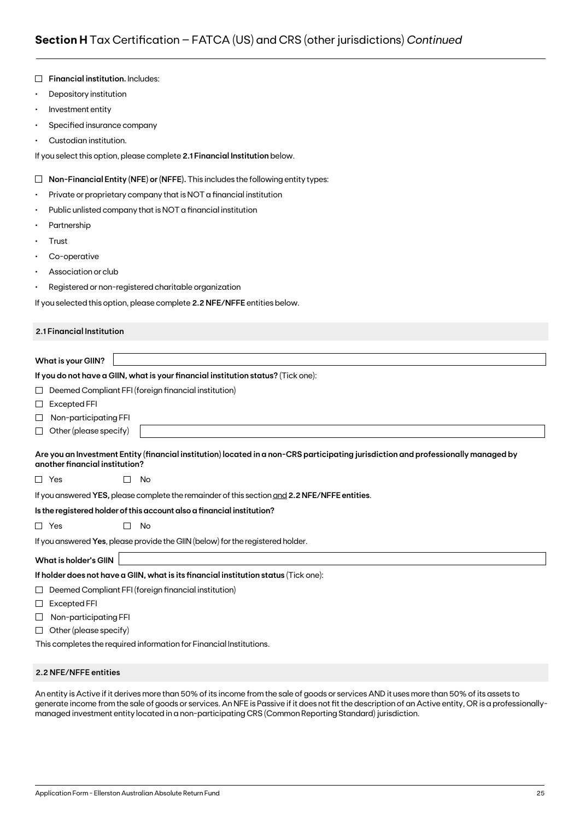|           | Financial institution. Includes:                                                                                                                                     |
|-----------|----------------------------------------------------------------------------------------------------------------------------------------------------------------------|
| $\bullet$ | Depository institution                                                                                                                                               |
| $\bullet$ | Investment entity                                                                                                                                                    |
| ٠         | Specified insurance company                                                                                                                                          |
|           | Custodian institution.                                                                                                                                               |
|           | If you select this option, please complete 2.1 Financial Institution below.                                                                                          |
| $\Box$    | Non-Financial Entity (NFE) or (NFFE). This includes the following entity types:                                                                                      |
| ٠         | Private or proprietary company that is NOT a financial institution                                                                                                   |
| ٠         | Public unlisted company that is NOT a financial institution                                                                                                          |
|           | Partnership                                                                                                                                                          |
| ٠         | Trust                                                                                                                                                                |
| ٠         | Co-operative                                                                                                                                                         |
|           | Association or club                                                                                                                                                  |
| ٠         | Registered or non-registered charitable organization                                                                                                                 |
|           | If you selected this option, please complete 2.2 NFE/NFFE entities below.                                                                                            |
|           | 2.1 Financial Institution                                                                                                                                            |
|           |                                                                                                                                                                      |
|           | <b>What is your GIIN?</b>                                                                                                                                            |
|           | If you do not have a GIIN, what is your financial institution status? (Tick one):                                                                                    |
| ப         | Deemed Compliant FFI (foreign financial institution)                                                                                                                 |
| $\sqcup$  | <b>Excepted FFI</b>                                                                                                                                                  |
| ⊔         | Non-participating FFI                                                                                                                                                |
| ⊔         | Other (please specify)                                                                                                                                               |
|           | Are you an Investment Entity (financial institution) located in a non-CRS participating jurisdiction and professionally managed by<br>another financial institution? |
|           | $\Box$ Yes<br>No                                                                                                                                                     |
|           | If you answered YES, please complete the remainder of this section and 2.2 NFE/NFFE entities.                                                                        |
|           | Is the registered holder of this account also a financial institution?                                                                                               |
|           | $\Box$ Yes<br>П<br>No                                                                                                                                                |
|           | If you answered Yes, please provide the GIIN (below) for the registered holder.                                                                                      |
|           | <b>What is holder's GIIN</b>                                                                                                                                         |
|           | If holder does not have a GIIN, what is its financial institution status (Tick one):                                                                                 |
| ⊔         | Deemed Compliant FFI (foreign financial institution)                                                                                                                 |
| ⊔         | Excepted FFI                                                                                                                                                         |
| ⊔         | Non-participating FFI                                                                                                                                                |
| ⊔         | Other (please specify)                                                                                                                                               |
|           | This completes the required information for Financial Institutions.                                                                                                  |

### **2.2 NFE/NFFE entities**

An entity is Active if it derives more than 50% of its income from the sale of goods or services AND it uses more than 50% of its assets to generate income from the sale of goods or services. An NFE is Passive if it does not fit the description of an Active entity, OR is a professionallymanaged investment entity located in a non-participating CRS (Common Reporting Standard) jurisdiction.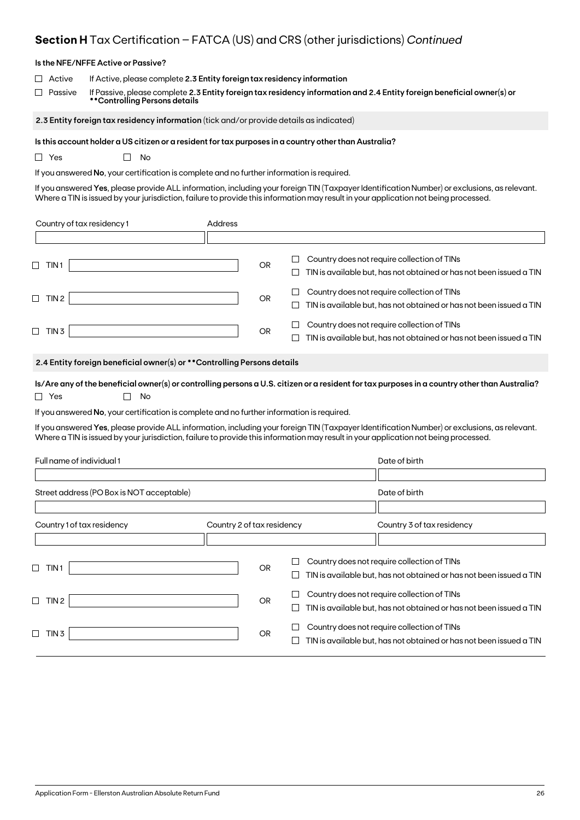## **Section H** Tax Certification – FATCA (US) and CRS (other jurisdictions) *Continued*

|                              | Is the NFE/NFFE Active or Passive?                                                                                                                                                                                                 |                            |           |             |                                                                                                                                                                                                                                                                                     |  |  |  |  |
|------------------------------|------------------------------------------------------------------------------------------------------------------------------------------------------------------------------------------------------------------------------------|----------------------------|-----------|-------------|-------------------------------------------------------------------------------------------------------------------------------------------------------------------------------------------------------------------------------------------------------------------------------------|--|--|--|--|
| Active<br>Passive            | If Active, please complete 2.3 Entity foreign tax residency information<br>If Passive, please complete 2.3 Entity foreign tax residency information and 2.4 Entity foreign beneficial owner(s) or<br>**Controlling Persons details |                            |           |             |                                                                                                                                                                                                                                                                                     |  |  |  |  |
|                              | 2.3 Entity foreign tax residency information (tick and/or provide details as indicated)                                                                                                                                            |                            |           |             |                                                                                                                                                                                                                                                                                     |  |  |  |  |
| $\Box$ Yes                   | Is this account holder a US citizen or a resident for tax purposes in a country other than Australia?<br>No<br>$\mathbf{L}$<br>If you answered No, your certification is complete and no further information is required.          |                            |           |             | If you answered Yes, please provide ALL information, including your foreign TIN (Taxpayer Identification Number) or exclusions, as relevant.<br>Where a TIN is issued by your jurisdiction, failure to provide this information may result in your application not being processed. |  |  |  |  |
| Country of tax residency 1   |                                                                                                                                                                                                                                    | Address                    |           |             |                                                                                                                                                                                                                                                                                     |  |  |  |  |
|                              |                                                                                                                                                                                                                                    |                            |           |             |                                                                                                                                                                                                                                                                                     |  |  |  |  |
| $\Box$ TIN1                  |                                                                                                                                                                                                                                    |                            | <b>OR</b> | $\Box$<br>⊔ | Country does not require collection of TINs<br>TIN is available but, has not obtained or has not been issued a TIN                                                                                                                                                                  |  |  |  |  |
| $\Box$ TIN 2                 |                                                                                                                                                                                                                                    |                            | OR        | ப<br>ப      | Country does not require collection of TINs<br>TIN is available but, has not obtained or has not been issued a TIN                                                                                                                                                                  |  |  |  |  |
| $\Box$ TIN 3                 |                                                                                                                                                                                                                                    |                            | OR        |             | Country does not require collection of TINs<br>TIN is available but, has not obtained or has not been issued a TIN                                                                                                                                                                  |  |  |  |  |
|                              | 2.4 Entity foreign beneficial owner(s) or ** Controlling Persons details                                                                                                                                                           |                            |           |             |                                                                                                                                                                                                                                                                                     |  |  |  |  |
| $\Box$ Yes                   | No                                                                                                                                                                                                                                 |                            |           |             | Is/Are any of the beneficial owner(s) or controlling persons a U.S. citizen or a resident for tax purposes in a country other than Australia?                                                                                                                                       |  |  |  |  |
|                              | If you answered No, your certification is complete and no further information is required.                                                                                                                                         |                            |           |             |                                                                                                                                                                                                                                                                                     |  |  |  |  |
|                              |                                                                                                                                                                                                                                    |                            |           |             | If you answered Yes, please provide ALL information, including your foreign TIN (Taxpayer Identification Number) or exclusions, as relevant.<br>Where a TIN is issued by your jurisdiction, failure to provide this information may result in your application not being processed. |  |  |  |  |
| Full name of individual 1    |                                                                                                                                                                                                                                    |                            |           |             | Date of birth                                                                                                                                                                                                                                                                       |  |  |  |  |
|                              | Street address (PO Box is NOT acceptable)                                                                                                                                                                                          |                            |           |             | Date of birth                                                                                                                                                                                                                                                                       |  |  |  |  |
|                              |                                                                                                                                                                                                                                    |                            |           |             |                                                                                                                                                                                                                                                                                     |  |  |  |  |
| Country 1 of tax residency   |                                                                                                                                                                                                                                    | Country 2 of tax residency |           |             | Country 3 of tax residency                                                                                                                                                                                                                                                          |  |  |  |  |
| $\sqcup$<br>TIN <sub>1</sub> |                                                                                                                                                                                                                                    |                            | <b>OR</b> | ப           | Country does not require collection of TINs<br>TIN is available but, has not obtained or has not been issued a TIN                                                                                                                                                                  |  |  |  |  |
| $\Box$ TIN 2                 |                                                                                                                                                                                                                                    |                            | <b>OR</b> | $\Box$<br>ப | Country does not require collection of TINs<br>TIN is available but, has not obtained or has not been issued a TIN                                                                                                                                                                  |  |  |  |  |
| $\Box$ TIN 3                 |                                                                                                                                                                                                                                    |                            | OR        | ப<br>$\Box$ | Country does not require collection of TINs<br>TIN is available but, has not obtained or has not been issued a TIN                                                                                                                                                                  |  |  |  |  |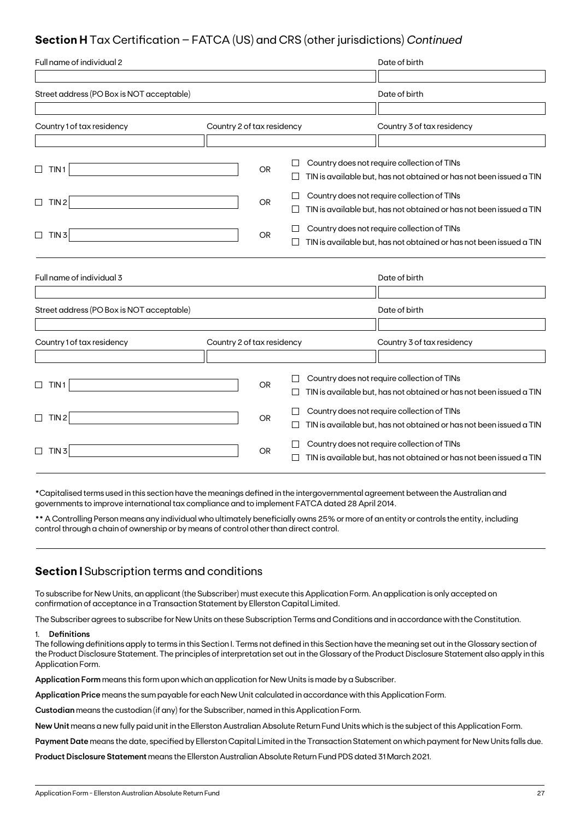## **Section H** Tax Certification – FATCA (US) and CRS (other jurisdictions) *Continued*

| Full name of individual 2                 |                            |           |         | Date of birth                                                                                                      |
|-------------------------------------------|----------------------------|-----------|---------|--------------------------------------------------------------------------------------------------------------------|
|                                           |                            |           |         |                                                                                                                    |
| Street address (PO Box is NOT acceptable) |                            |           |         | Date of birth                                                                                                      |
|                                           |                            |           |         |                                                                                                                    |
| Country 1 of tax residency                | Country 2 of tax residency |           |         | Country 3 of tax residency                                                                                         |
|                                           |                            |           |         |                                                                                                                    |
| $\Box$<br>TIN <sub>1</sub>                |                            | <b>OR</b> |         | Country does not require collection of TINs<br>TIN is available but, has not obtained or has not been issued a TIN |
| TIN <sub>2</sub><br>$\Box$                |                            | <b>OR</b> |         | Country does not require collection of TINs<br>TIN is available but, has not obtained or has not been issued a TIN |
| $\Box$<br>TIN <sub>3</sub>                |                            | <b>OR</b> |         | Country does not require collection of TINs<br>TIN is available but, has not obtained or has not been issued a TIN |
| Full name of individual 3                 |                            |           |         | Date of birth                                                                                                      |
| Street address (PO Box is NOT acceptable) |                            |           |         | Date of birth                                                                                                      |
|                                           |                            |           |         |                                                                                                                    |
| Country 1 of tax residency                | Country 2 of tax residency |           |         | Country 3 of tax residency                                                                                         |
| TIN 1<br>⊔                                |                            | <b>OR</b> | $\perp$ | Country does not require collection of TINs<br>TIN is available but, has not obtained or has not been issued a TIN |
| TIN <sub>2</sub><br>$\Box$                |                            | <b>OR</b> |         | Country does not require collection of TINs<br>TIN is available but, has not obtained or has not been issued a TIN |
| TIN <sub>3</sub><br>$\Box$                |                            | OR.       |         | Country does not require collection of TINs<br>TIN is available but, has not obtained or has not been issued a TIN |

\*Capitalised terms used in this section have the meanings defined in the intergovernmental agreement between the Australian and governments to improve international tax compliance and to implement FATCA dated 28 April 2014.

\*\* A Controlling Person means any individual who ultimately beneficially owns 25% or more of an entity or controls the entity, including control through a chain of ownership or by means of control other than direct control.

### **Section I** Subscription terms and conditions

To subscribe for New Units, an applicant (the Subscriber) must execute this Application Form. An application is only accepted on confirmation of acceptance in a Transaction Statement by Ellerston Capital Limited.

The Subscriber agrees to subscribe for New Units on these Subscription Terms and Conditions and in accordance with the Constitution.

### 1. **Definitions**

The following definitions apply to terms in this Section I. Terms not defined in this Section have the meaning set out in the Glossary section of the Product Disclosure Statement. The principles of interpretation set out in the Glossary of the Product Disclosure Statement also apply in this Application Form.

**Application Form** means this form upon which an application for New Units is made by a Subscriber.

**Application Price** means the sum payable for each New Unit calculated in accordance with this Application Form.

**Custodian** means the custodian (if any) for the Subscriber, named in this Application Form.

**New Unit** means a new fully paid unit in the Ellerston Australian Absolute Return Fund Units which is the subject of this Application Form.

**Payment Date** means the date, specified by Ellerston Capital Limited in the Transaction Statement on which payment for New Units falls due.

**Product Disclosure Statement** means the Ellerston Australian Absolute Return Fund PDS dated 31 March 2021.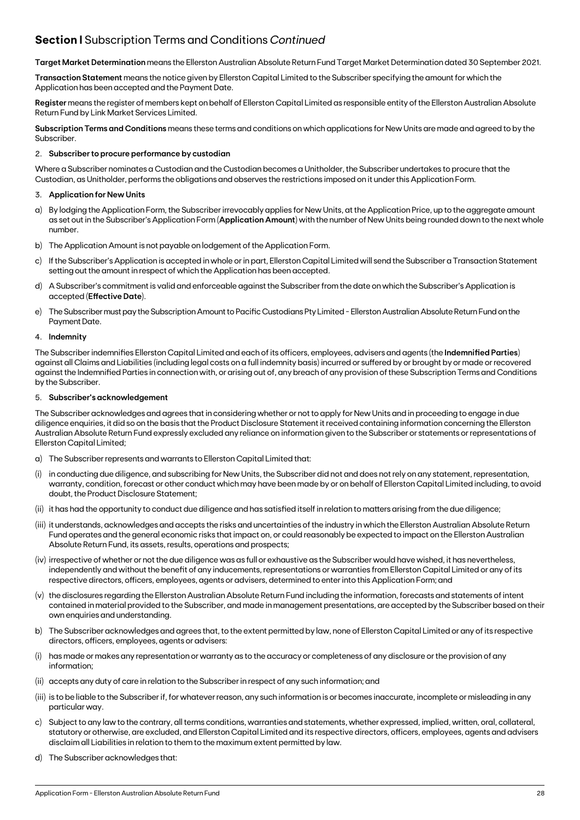## **Section I** Subscription Terms and Conditions *Continued*

**Target Market Determination** means the Ellerston Australian Absolute Return Fund Target Market Determination dated 30 September 2021.

**Transaction Statement** means the notice given by Ellerston Capital Limited to the Subscriber specifying the amount for which the Application has been accepted and the Payment Date.

**Register** means the register of members kept on behalf of Ellerston Capital Limited as responsible entity of the Ellerston Australian Absolute Return Fund by Link Market Services Limited.

**Subscription Terms and Conditions** means these terms and conditions on which applications for New Units are made and agreed to by the Subscriber.

### 2. **Subscriber to procure performance by custodian**

Where a Subscriber nominates a Custodian and the Custodian becomes a Unitholder, the Subscriber undertakes to procure that the Custodian, as Unitholder, performs the obligations and observes the restrictions imposed on it under this Application Form.

### 3. **Application for New Units**

- a) By lodging the Application Form, the Subscriber irrevocably applies for New Units, at the Application Price, up to the aggregate amount as set out in the Subscriber's Application Form (**Application Amount**) with the number of New Units being rounded down to the next whole number.
- b) The Application Amount is not payable on lodgement of the Application Form.
- c) If the Subscriber's Application is accepted in whole or in part, Ellerston Capital Limited will send the Subscriber a Transaction Statement setting out the amount in respect of which the Application has been accepted.
- d) A Subscriber's commitment is valid and enforceable against the Subscriber from the date on which the Subscriber's Application is accepted (**Effective Date**).
- e) The Subscriber must pay the Subscription Amount to Pacific Custodians Pty Limited Ellerston Australian Absolute Return Fund on the Payment Date.

### 4. **Indemnity**

The Subscriber indemnifies Ellerston Capital Limited and each of its officers, employees, advisers and agents (the **Indemnified Parties**) against all Claims and Liabilities (including legal costs on a full indemnity basis) incurred or suffered by or brought by or made or recovered against the Indemnified Parties in connection with, or arising out of, any breach of any provision of these Subscription Terms and Conditions by the Subscriber.

### 5. **Subscriber's acknowledgement**

The Subscriber acknowledges and agrees that in considering whether or not to apply for New Units and in proceeding to engage in due diligence enquiries, it did so on the basis that the Product Disclosure Statement it received containing information concerning the Ellerston Australian Absolute Return Fund expressly excluded any reliance on information given to the Subscriber or statements or representations of Ellerston Capital Limited;

- a) The Subscriber represents and warrants to Ellerston Capital Limited that:
- in conducting due diligence, and subscribing for New Units, the Subscriber did not and does not rely on any statement, representation, warranty, condition, forecast or other conduct which may have been made by or on behalf of Ellerston Capital Limited including, to avoid doubt, the Product Disclosure Statement;
- (ii) it has had the opportunity to conduct due diligence and has satisfied itself in relation to matters arising from the due diligence;
- (iii) it understands, acknowledges and accepts the risks and uncertainties of the industry in which the Ellerston Australian Absolute Return Fund operates and the general economic risks that impact on, or could reasonably be expected to impact on the Ellerston Australian Absolute Return Fund, its assets, results, operations and prospects;
- (iv) irrespective of whether or not the due diligence was as full or exhaustive as the Subscriber would have wished, it has nevertheless, independently and without the benefit of any inducements, representations or warranties from Ellerston Capital Limited or any of its respective directors, officers, employees, agents or advisers, determined to enter into this Application Form; and
- (v) the disclosures regarding the Ellerston Australian Absolute Return Fund including the information, forecasts and statements of intent contained in material provided to the Subscriber, and made in management presentations, are accepted by the Subscriber based on their own enquiries and understanding.
- b) The Subscriber acknowledges and agrees that, to the extent permitted by law, none of Ellerston Capital Limited or any of its respective directors, officers, employees, agents or advisers:
- (i) has made or makes any representation or warranty as to the accuracy or completeness of any disclosure or the provision of any information;
- (ii) accepts any duty of care in relation to the Subscriber in respect of any such information; and
- (iii) is to be liable to the Subscriber if, for whatever reason, any such information is or becomes inaccurate, incomplete or misleading in any particular way.
- c) Subject to any law to the contrary, all terms conditions, warranties and statements, whether expressed, implied, written, oral, collateral, statutory or otherwise, are excluded, and Ellerston Capital Limited and its respective directors, officers, employees, agents and advisers disclaim all Liabilities in relation to them to the maximum extent permitted by law.
- d) The Subscriber acknowledges that: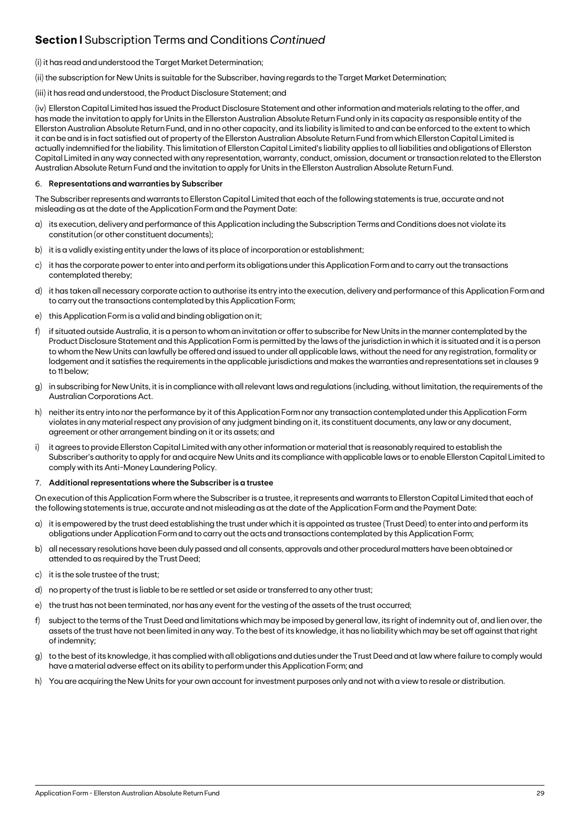## **Section I** Subscription Terms and Conditions *Continued*

### (i) it has read and understood the Target Market Determination;

(ii) the subscription for New Units is suitable for the Subscriber, having regards to the Target Market Determination;

### (iii) it has read and understood, the Product Disclosure Statement; and

(iv) Ellerston Capital Limited has issued the Product Disclosure Statement and other information and materials relating to the offer, and has made the invitation to apply for Units in the Ellerston Australian Absolute Return Fund only in its capacity as responsible entity of the Ellerston Australian Absolute Return Fund, and in no other capacity, and its liability is limited to and can be enforced to the extent to which it can be and is in fact satisfied out of property of the Ellerston Australian Absolute Return Fund from which Ellerston Capital Limited is actually indemnified for the liability. This limitation of Ellerston Capital Limited's liability applies to all liabilities and obligations of Ellerston Capital Limited in any way connected with any representation, warranty, conduct, omission, document or transaction related to the Ellerston Australian Absolute Return Fund and the invitation to apply for Units in the Ellerston Australian Absolute Return Fund.

### 6. **Representations and warranties by Subscriber**

The Subscriber represents and warrants to Ellerston Capital Limited that each of the following statements is true, accurate and not misleading as at the date of the Application Form and the Payment Date:

- a) its execution, delivery and performance of this Application including the Subscription Terms and Conditions does not violate its constitution (or other constituent documents);
- b) it is a validly existing entity under the laws of its place of incorporation or establishment;
- c) it has the corporate power to enter into and perform its obligations under this Application Form and to carry out the transactions contemplated thereby;
- d) it has taken all necessary corporate action to authorise its entry into the execution, delivery and performance of this Application Form and to carry out the transactions contemplated by this Application Form;
- e) this Application Form is a valid and binding obligation on it;
- f) if situated outside Australia, it is a person to whom an invitation or offer to subscribe for New Units in the manner contemplated by the Product Disclosure Statement and this Application Form is permitted by the laws of the jurisdiction in which it is situated and it is a person to whom the New Units can lawfully be offered and issued to under all applicable laws, without the need for any registration, formality or lodgement and it satisfies the requirements in the applicable jurisdictions and makes the warranties and representations set in clauses 9 to 11 below;
- g) in subscribing for New Units, it is in compliance with all relevant laws and regulations (including, without limitation, the requirements of the Australian Corporations Act.
- h) neither its entry into nor the performance by it of this Application Form nor any transaction contemplated under this Application Form violates in any material respect any provision of any judgment binding on it, its constituent documents, any law or any document, agreement or other arrangement binding on it or its assets; and
- i) it agrees to provide Ellerston Capital Limited with any other information or material that is reasonably required to establish the Subscriber's authority to apply for and acquire New Units and its compliance with applicable laws or to enable Ellerston Capital Limited to comply with its Anti-Money Laundering Policy.

### 7. **Additional representations where the Subscriber is a trustee**

On execution of this Application Form where the Subscriber is a trustee, it represents and warrants to Ellerston Capital Limited that each of the following statements is true, accurate and not misleading as at the date of the Application Form and the Payment Date:

- a) it is empowered by the trust deed establishing the trust under which it is appointed as trustee (Trust Deed) to enter into and perform its obligations under Application Form and to carry out the acts and transactions contemplated by this Application Form;
- b) all necessary resolutions have been duly passed and all consents, approvals and other procedural matters have been obtained or attended to as required by the Trust Deed;
- c) it is the sole trustee of the trust;
- d) no property of the trust is liable to be re settled or set aside or transferred to any other trust;
- e) the trust has not been terminated, nor has any event for the vesting of the assets of the trust occurred;
- f) subject to the terms of the Trust Deed and limitations which may be imposed by general law, its right of indemnity out of, and lien over, the assets of the trust have not been limited in any way. To the best of its knowledge, it has no liability which may be set off against that right of indemnity;
- g) to the best of its knowledge, it has complied with all obligations and duties under the Trust Deed and at law where failure to comply would have a material adverse effect on its ability to perform under this Application Form; and
- h) You are acquiring the New Units for your own account for investment purposes only and not with a view to resale or distribution.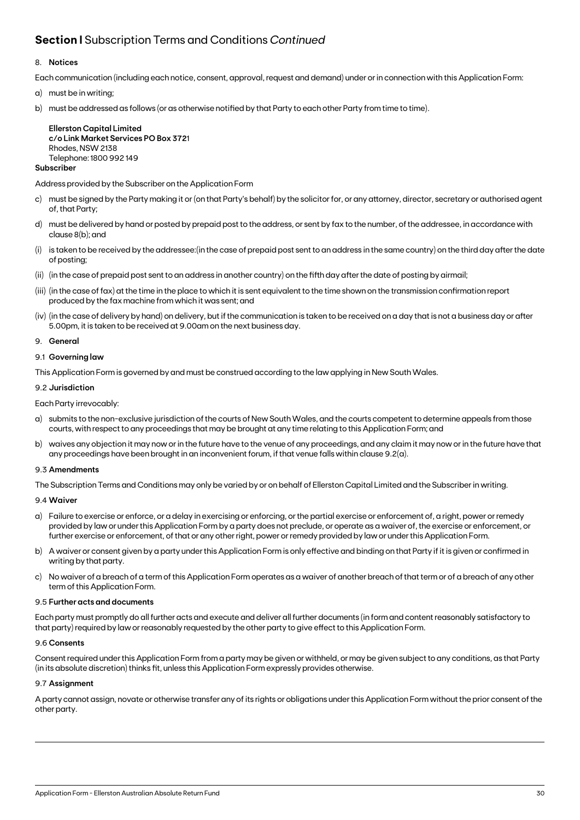## **Section I** Subscription Terms and Conditions *Continued*

### 8. **Notices**

Each communication (including each notice, consent, approval, request and demand) under or in connection with this Application Form:

- a) must be in writing;
- b) must be addressed as follows (or as otherwise notified by that Party to each other Party from time to time).

**Ellerston Capital Limited c/o Link Market Services PO Box 372**1 Rhodes, NSW 2138 Telephone: 1800 992 149

### **Subscriber**

Address provided by the Subscriber on the Application Form

- c) must be signed by the Party making it or (on that Party's behalf) by the solicitor for, or any attorney, director, secretary or authorised agent of, that Party;
- d) must be delivered by hand or posted by prepaid post to the address, or sent by fax to the number, of the addressee, in accordance with clause 8(b); and
- (i) is taken to be received by the addressee:(in the case of prepaid post sent to an address in the same country) on the third day after the date of posting;
- (ii) (in the case of prepaid post sent to an address in another country) on the fifth day after the date of posting by airmail;
- (iii) (in the case of fax) at the time in the place to which it is sent equivalent to the time shown on the transmission confirmation report produced by the fax machine from which it was sent; and
- (iv) (in the case of delivery by hand) on delivery, but if the communication is taken to be received on a day that is not a business day or after 5.00pm, it is taken to be received at 9.00am on the next business day.
- 9. **General**

### 9.1 **Governing law**

This Application Form is governed by and must be construed according to the law applying in New South Wales.

### 9.2 **Jurisdiction**

Each Party irrevocably:

- a) submits to the non-exclusive jurisdiction of the courts of New South Wales, and the courts competent to determine appeals from those courts, with respect to any proceedings that may be brought at any time relating to this Application Form; and
- b) waives any objection it may now or in the future have to the venue of any proceedings, and any claim it may now or in the future have that any proceedings have been brought in an inconvenient forum, if that venue falls within clause 9.2(a).

### 9.3 **Amendments**

The Subscription Terms and Conditions may only be varied by or on behalf of Ellerston Capital Limited and the Subscriber in writing.

### 9.4 **Waiver**

- a) Failure to exercise or enforce, or a delay in exercising or enforcing, or the partial exercise or enforcement of, a right, power or remedy provided by law or under this Application Form by a party does not preclude, or operate as a waiver of, the exercise or enforcement, or further exercise or enforcement, of that or any other right, power or remedy provided by law or under this Application Form.
- b) A waiver or consent given by a party under this Application Form is only effective and binding on that Party if it is given or confirmed in writing by that party.
- c) No waiver of a breach of a term of this Application Form operates as a waiver of another breach of that term or of a breach of any other term of this Application Form.

### 9.5 **Further acts and documents**

Each party must promptly do all further acts and execute and deliver all further documents (in form and content reasonably satisfactory to that party) required by law or reasonably requested by the other party to give effect to this Application Form.

### 9.6 **Consents**

Consent required under this Application Form from a party may be given or withheld, or may be given subject to any conditions, as that Party (in its absolute discretion) thinks fit, unless this Application Form expressly provides otherwise.

### 9.7 **Assignment**

A party cannot assign, novate or otherwise transfer any of its rights or obligations under this Application Form without the prior consent of the other party.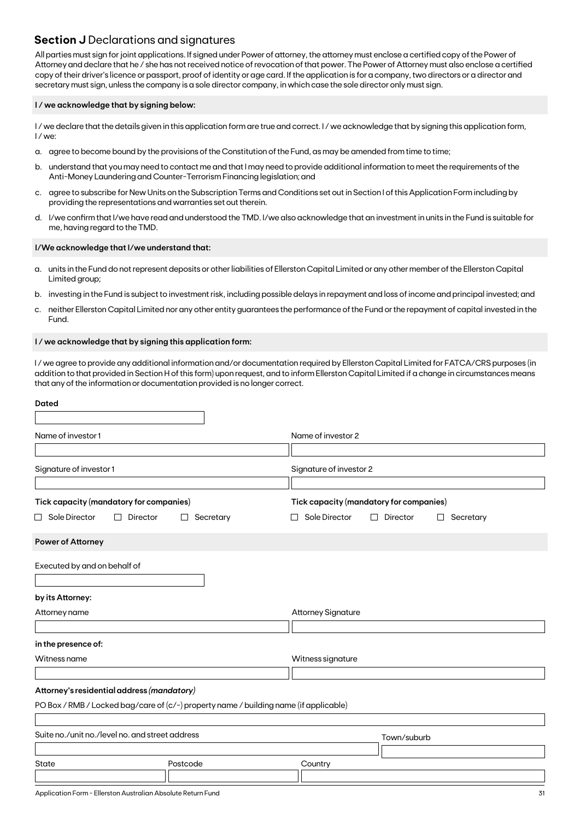### **Section J** Declarations and signatures

All parties must sign for joint applications. If signed under Power of attorney, the attorney must enclose a certified copy of the Power of Attorney and declare that he / she has not received notice of revocation of that power. The Power of Attorney must also enclose a certified copy of their driver's licence or passport, proof of identity or age card. If the application is for a company, two directors or a director and secretary must sign, unless the company is a sole director company, in which case the sole director only must sign.

### **I / we acknowledge that by signing below:**

I/we declare that the details given in this application form are true and correct. I/we acknowledge that by signing this application form, I / we:

- a. agree to become bound by the provisions of the Constitution of the Fund, as may be amended from time to time;
- b. understand that you may need to contact me and that I may need to provide additional information to meet the requirements of the Anti-Money Laundering and Counter-Terrorism Financing legislation; and
- c. agree to subscribe for New Units on the Subscription Terms and Conditions set out in Section I of this Application Form including by providing the representations and warranties set out therein.
- d. I/we confirm that I/we have read and understood the TMD. I/we also acknowledge that an investment in units in the Fund is suitable for me, having regard to the TMD.

### **I/We acknowledge that I/we understand that:**

- a. units in the Fund do not represent deposits or other liabilities of Ellerston Capital Limited or any other member of the Ellerston Capital Limited group;
- b. investing in the Fund is subject to investment risk, including possible delays in repayment and loss of income and principal invested; and
- c. neither Ellerston Capital Limited nor any other entity guarantees the performance of the Fund or the repayment of capital invested in the Fund.

### **I / we acknowledge that by signing this application form:**

I / we agree to provide any additional information and/or documentation required by Ellerston Capital Limited for FATCA/CRS purposes (in addition to that provided in Section H of this form) upon request, and to inform Ellerston Capital Limited if a change in circumstances means that any of the information or documentation provided is no longer correct.

| <b>Dated</b>                                                                          |                |                                                                                           |           |  |  |  |  |  |
|---------------------------------------------------------------------------------------|----------------|-------------------------------------------------------------------------------------------|-----------|--|--|--|--|--|
| Name of investor 1                                                                    |                | Name of investor 2                                                                        |           |  |  |  |  |  |
| Signature of investor 1                                                               |                | Signature of investor 2                                                                   |           |  |  |  |  |  |
| Tick capacity (mandatory for companies)<br>$\Box$ Sole Director<br>Director<br>П      | Secretary<br>⊔ | Tick capacity (mandatory for companies)<br>Sole Director<br>Director<br>□<br>ப<br>$\perp$ | Secretary |  |  |  |  |  |
| <b>Power of Attorney</b>                                                              |                |                                                                                           |           |  |  |  |  |  |
| Executed by and on behalf of                                                          |                |                                                                                           |           |  |  |  |  |  |
| by its Attorney:                                                                      |                |                                                                                           |           |  |  |  |  |  |
| Attorney name                                                                         |                | <b>Attorney Signature</b>                                                                 |           |  |  |  |  |  |
| in the presence of:                                                                   |                |                                                                                           |           |  |  |  |  |  |
| Witness name                                                                          |                | Witness signature                                                                         |           |  |  |  |  |  |
| Attorney's residential address (mandatory)                                            |                |                                                                                           |           |  |  |  |  |  |
| PO Box / RMB / Locked bag/care of (c/-) property name / building name (if applicable) |                |                                                                                           |           |  |  |  |  |  |
| Suite no./unit no./level no. and street address                                       |                | Town/suburb                                                                               |           |  |  |  |  |  |
| State                                                                                 | Postcode       | Country                                                                                   |           |  |  |  |  |  |
|                                                                                       |                |                                                                                           |           |  |  |  |  |  |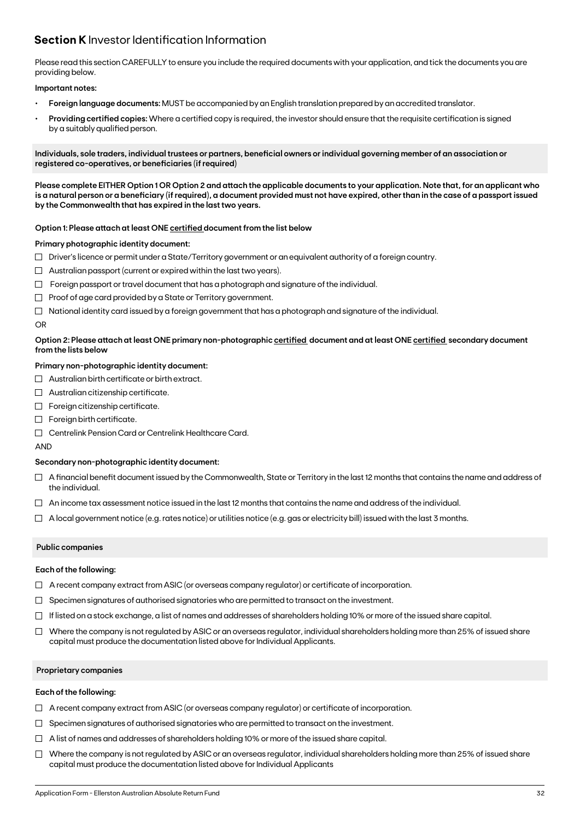## **Section K** Investor Identification Information

Please read this section CAREFULLY to ensure you include the required documents with your application, and tick the documents you are providing below.

### **Important notes:**

- **• Foreign language documents:** MUST be accompanied by an English translation prepared by an accredited translator.
- **Providing certified copies:** Where a certified copy is required, the investor should ensure that the requisite certification is signed by a suitably qualified person.

**Individuals, sole traders, individual trustees or partners, beneficial owners or individual governing member of an association or registered co-operatives, or beneficiaries (if required)**

**Please complete EITHER Option 1 OR Option 2 and attach the applicable documents to your application. Note that, for an applicant who is a natural person or a beneficiary (if required), a document provided must not have expired, other than in the case of a passport issued by the Commonwealth that has expired in the last two years.**

### **Option 1: Please attach at least ONE certified document from the list below**

### **Primary photographic identity document:**

- $\Box$  Driver's licence or permit under a State/Territory government or an equivalent authority of a foreign country.
- $\Box$  Australian passport (current or expired within the last two years).
- $\Box$  Foreign passport or travel document that has a photograph and signature of the individual.
- $\Box$  Proof of age card provided by a State or Territory government.
- $\Box$  National identity card issued by a foreign government that has a photograph and signature of the individual.

#### OR

### **Option 2: Please attach at least ONE primary non-photographic certified document and at least ONE certified secondary document from the lists below**

### **Primary non-photographic identity document:**

- $\Box$  Australian birth certificate or birth extract.
- $\Box$  Australian citizenship certificate.
- $\Box$  Foreign citizenship certificate.
- Foreign birth certificate.
- Centrelink Pension Card or Centrelink Healthcare Card.

AND

### **Secondary non-photographic identity document:**

- $\Box$  A financial benefit document issued by the Commonwealth, State or Territory in the last 12 months that contains the name and address of the individual.
- $\Box$  An income tax assessment notice issued in the last 12 months that contains the name and address of the individual.
- $\Box$  A local government notice (e.g. rates notice) or utilities notice (e.g. gas or electricity bill) issued with the last 3 months.

### **Public companies**

### **Each of the following:**

- $\Box$  A recent company extract from ASIC (or overseas company regulator) or certificate of incorporation.
- $\Box$  Specimen signatures of authorised signatories who are permitted to transact on the investment.
- $\Box$  If listed on a stock exchange, a list of names and addresses of shareholders holding 10% or more of the issued share capital.
- $\Box$  Where the company is not regulated by ASIC or an overseas regulator, individual shareholders holding more than 25% of issued share capital must produce the documentation listed above for Individual Applicants.

### **Proprietary companies**

### **Each of the following:**

- $\Box$  A recent company extract from ASIC (or overseas company regulator) or certificate of incorporation.
- $\Box$  Specimen signatures of authorised signatories who are permitted to transact on the investment.
- $\Box$  A list of names and addresses of shareholders holding 10% or more of the issued share capital.
- $\Box$  Where the company is not regulated by ASIC or an overseas regulator, individual shareholders holding more than 25% of issued share capital must produce the documentation listed above for Individual Applicants